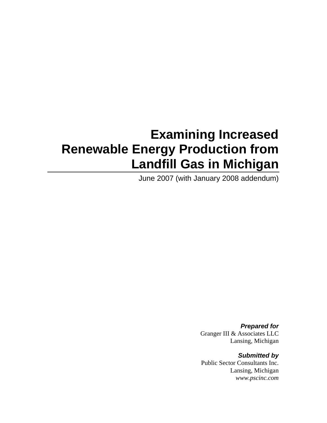# **Examining Increased Renewable Energy Production from Landfill Gas in Michigan**

June 2007 (with January 2008 addendum)

*Prepared for*  Granger III & Associates LLC Lansing, Michigan

*Submitted by*  Public Sector Consultants Inc. Lansing, Michigan *www.pscinc.com*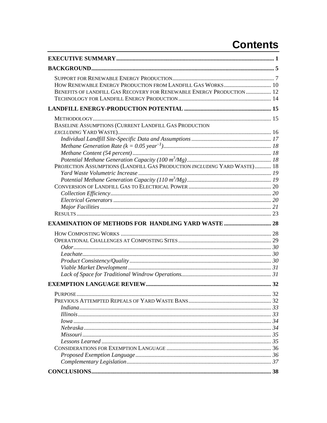# **Contents**

| HOW RENEWABLE ENERGY PRODUCTION FROM LANDFILL GAS WORKS 10<br>BENEFITS OF LANDFILL GAS RECOVERY FOR RENEWABLE ENERGY PRODUCTION  12 |    |
|-------------------------------------------------------------------------------------------------------------------------------------|----|
|                                                                                                                                     |    |
| BASELINE ASSUMPTIONS (CURRENT LANDFILL GAS PRODUCTION                                                                               |    |
|                                                                                                                                     |    |
|                                                                                                                                     |    |
| PROJECTION ASSUMPTIONS (LANDFILL GAS PRODUCTION INCLUDING YARD WASTE) 18                                                            |    |
|                                                                                                                                     |    |
|                                                                                                                                     |    |
| <b>EXAMINATION OF METHODS FOR HANDLING YARD WASTE  28</b>                                                                           |    |
|                                                                                                                                     |    |
|                                                                                                                                     |    |
|                                                                                                                                     |    |
|                                                                                                                                     |    |
|                                                                                                                                     |    |
|                                                                                                                                     |    |
|                                                                                                                                     |    |
| PURPOSE                                                                                                                             | 32 |
|                                                                                                                                     |    |
|                                                                                                                                     |    |
|                                                                                                                                     |    |
|                                                                                                                                     |    |
|                                                                                                                                     |    |
|                                                                                                                                     |    |
|                                                                                                                                     |    |
|                                                                                                                                     |    |
|                                                                                                                                     |    |
|                                                                                                                                     |    |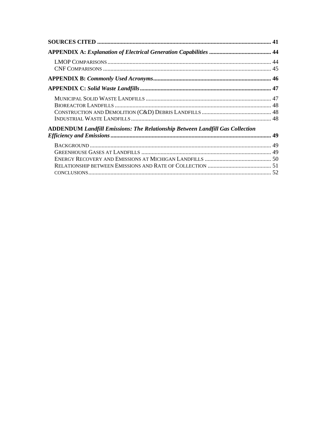| <b>ADDENDUM Landfill Emissions: The Relationship Between Landfill Gas Collection</b> |  |
|--------------------------------------------------------------------------------------|--|
|                                                                                      |  |
|                                                                                      |  |
|                                                                                      |  |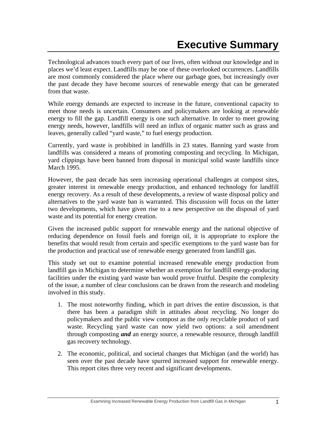Technological advances touch every part of our lives, often without our knowledge and in places we'd least expect. Landfills may be one of these overlooked occurrences. Landfills are most commonly considered the place where our garbage goes, but increasingly over the past decade they have become sources of renewable energy that can be generated from that waste.

While energy demands are expected to increase in the future, conventional capacity to meet those needs is uncertain. Consumers and policymakers are looking at renewable energy to fill the gap. Landfill energy is one such alternative. In order to meet growing energy needs, however, landfills will need an influx of organic matter such as grass and leaves, generally called "yard waste," to fuel energy production.

Currently, yard waste is prohibited in landfills in 23 states. Banning yard waste from landfills was considered a means of promoting composting and recycling. In Michigan, yard clippings have been banned from disposal in municipal solid waste landfills since March 1995.

However, the past decade has seen increasing operational challenges at compost sites, greater interest in renewable energy production, and enhanced technology for landfill energy recovery. As a result of these developments, a review of waste disposal policy and alternatives to the yard waste ban is warranted. This discussion will focus on the latter two developments, which have given rise to a new perspective on the disposal of yard waste and its potential for energy creation.

Given the increased public support for renewable energy and the national objective of reducing dependence on fossil fuels and foreign oil, it is appropriate to explore the benefits that would result from certain and specific exemptions to the yard waste ban for the production and practical use of renewable energy generated from landfill gas.

This study set out to examine potential increased renewable energy production from landfill gas in Michigan to determine whether an exemption for landfill energy-producing facilities under the existing yard waste ban would prove fruitful. Despite the complexity of the issue, a number of clear conclusions can be drawn from the research and modeling involved in this study.

- 1. The most noteworthy finding, which in part drives the entire discussion, is that there has been a paradigm shift in attitudes about recycling. No longer do policymakers and the public view compost as the only recyclable product of yard waste. Recycling yard waste can now yield two options: a soil amendment through composting *and* an energy source, a renewable resource, through landfill gas recovery technology.
- 2. The economic, political, and societal changes that Michigan (and the world) has seen over the past decade have spurred increased support for renewable energy. This report cites three very recent and significant developments.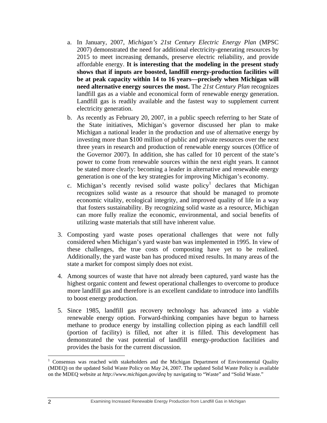- a. In January, 2007, *Michigan's 21st Century Electric Energy Plan* (MPSC 2007) demonstrated the need for additional electricity-generating resources by 2015 to meet increasing demands, preserve electric reliability, and provide affordable energy. **It is interesting that the modeling in the present study shows that if inputs are boosted, landfill energy-production facilities will be at peak capacity within 14 to 16 years—precisely when Michigan will need alternative energy sources the most.** The *21st Century Plan* recognizes landfill gas as a viable and economical form of renewable energy generation. Landfill gas is readily available and the fastest way to supplement current electricity generation.
- b. As recently as February 20, 2007, in a public speech referring to her State of the State initiatives, Michigan's governor discussed her plan to make Michigan a national leader in the production and use of alternative energy by investing more than \$100 million of public and private resources over the next three years in research and production of renewable energy sources (Office of the Governor 2007). In addition, she has called for 10 percent of the state's power to come from renewable sources within the next eight years. It cannot be stated more clearly: becoming a leader in alternative and renewable energy generation is one of the key strategies for improving Michigan's economy.
- c. Michigan's recently revised solid waste policy<sup>1</sup> declares that Michigan recognizes solid waste as a resource that should be managed to promote economic vitality, ecological integrity, and improved quality of life in a way that fosters sustainability. By recognizing solid waste as a resource, Michigan can more fully realize the economic, environmental, and social benefits of utilizing waste materials that still have inherent value.
- 3. Composting yard waste poses operational challenges that were not fully considered when Michigan's yard waste ban was implemented in 1995. In view of these challenges, the true costs of composting have yet to be realized. Additionally, the yard waste ban has produced mixed results. In many areas of the state a market for compost simply does not exist.
- 4. Among sources of waste that have not already been captured, yard waste has the highest organic content and fewest operational challenges to overcome to produce more landfill gas and therefore is an excellent candidate to introduce into landfills to boost energy production.
- 5. Since 1985, landfill gas recovery technology has advanced into a viable renewable energy option. Forward-thinking companies have begun to harness methane to produce energy by installing collection piping as each landfill cell (portion of facility) is filled, not after it is filled. This development has demonstrated the vast potential of landfill energy-production facilities and provides the basis for the current discussion.

<sup>1</sup> Consensus was reached with stakeholders and the Michigan Department of Environmental Quality (MDEQ) on the updated Solid Waste Policy on May 24, 2007. The updated Solid Waste Policy is available on the MDEQ website at *http://www.michigan.gov/deq* by navigating to "Waste" and "Solid Waste."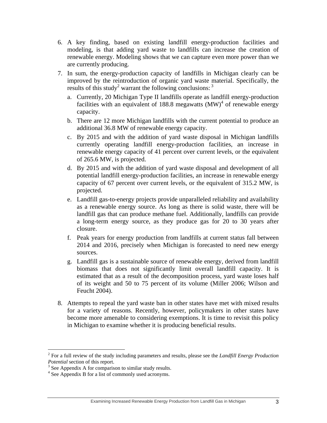- 6. A key finding, based on existing landfill energy-production facilities and modeling, is that adding yard waste to landfills can increase the creation of renewable energy. Modeling shows that we can capture even more power than we are currently producing.
- 7. In sum, the energy-production capacity of landfills in Michigan clearly can be improved by the reintroduction of organic yard waste material. Specifically, the results of this study<sup>2</sup> warrant the following conclusions:  $3$ 
	- a. Currently, 20 Michigan Type II landfills operate as landfill energy-production facilities with an equivalent of 188.8 megawatts  $(MW)^4$  of renewable energy capacity.
	- b. There are 12 more Michigan landfills with the current potential to produce an additional 36.8 MW of renewable energy capacity.
	- c. By 2015 and with the addition of yard waste disposal in Michigan landfills currently operating landfill energy-production facilities, an increase in renewable energy capacity of 41 percent over current levels, or the equivalent of 265.6 MW, is projected.
	- d. By 2015 and with the addition of yard waste disposal and development of all potential landfill energy-production facilities, an increase in renewable energy capacity of 67 percent over current levels, or the equivalent of 315.2 MW, is projected.
	- e. Landfill gas-to-energy projects provide unparalleled reliability and availability as a renewable energy source. As long as there is solid waste, there will be landfill gas that can produce methane fuel. Additionally, landfills can provide a long-term energy source, as they produce gas for 20 to 30 years after closure.
	- f. Peak years for energy production from landfills at current status fall between 2014 and 2016, precisely when Michigan is forecasted to need new energy sources.
	- g. Landfill gas is a sustainable source of renewable energy, derived from landfill biomass that does not significantly limit overall landfill capacity. It is estimated that as a result of the decomposition process, yard waste loses half of its weight and 50 to 75 percent of its volume (Miller 2006; Wilson and Feucht 2004).
- 8. Attempts to repeal the yard waste ban in other states have met with mixed results for a variety of reasons. Recently, however, policymakers in other states have become more amenable to considering exemptions. It is time to revisit this policy in Michigan to examine whether it is producing beneficial results.

<sup>2</sup> For a full review of the study including parameters and results, please see the *Landfill Energy Production Potential* section of this report.

 $3$  See Appendix A for comparison to similar study results.

<sup>4</sup> See Appendix B for a list of commonly used acronyms.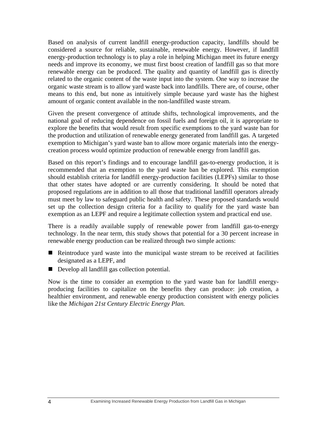Based on analysis of current landfill energy-production capacity, landfills should be considered a source for reliable, sustainable, renewable energy. However, if landfill energy-production technology is to play a role in helping Michigan meet its future energy needs and improve its economy, we must first boost creation of landfill gas so that more renewable energy can be produced. The quality and quantity of landfill gas is directly related to the organic content of the waste input into the system. One way to increase the organic waste stream is to allow yard waste back into landfills. There are, of course, other means to this end, but none as intuitively simple because yard waste has the highest amount of organic content available in the non-landfilled waste stream.

Given the present convergence of attitude shifts, technological improvements, and the national goal of reducing dependence on fossil fuels and foreign oil, it is appropriate to explore the benefits that would result from specific exemptions to the yard waste ban for the production and utilization of renewable energy generated from landfill gas. A targeted exemption to Michigan's yard waste ban to allow more organic materials into the energycreation process would optimize production of renewable energy from landfill gas.

Based on this report's findings and to encourage landfill gas-to-energy production, it is recommended that an exemption to the yard waste ban be explored. This exemption should establish criteria for landfill energy-production facilities (LEPFs) similar to those that other states have adopted or are currently considering. It should be noted that proposed regulations are in addition to all those that traditional landfill operators already must meet by law to safeguard public health and safety. These proposed standards would set up the collection design criteria for a facility to qualify for the yard waste ban exemption as an LEPF and require a legitimate collection system and practical end use.

There is a readily available supply of renewable power from landfill gas-to-energy technology. In the near term, this study shows that potential for a 30 percent increase in renewable energy production can be realized through two simple actions:

- Reintroduce yard waste into the municipal waste stream to be received at facilities designated as a LEPF, and
- Develop all landfill gas collection potential.

Now is the time to consider an exemption to the yard waste ban for landfill energyproducing facilities to capitalize on the benefits they can produce: job creation, a healthier environment, and renewable energy production consistent with energy policies like the *Michigan 21st Century Electric Energy Plan.*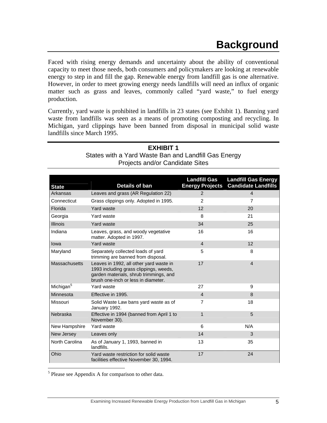Faced with rising energy demands and uncertainty about the ability of conventional capacity to meet those needs, both consumers and policymakers are looking at renewable energy to step in and fill the gap. Renewable energy from landfill gas is one alternative. However, in order to meet growing energy needs landfills will need an influx of organic matter such as grass and leaves, commonly called "yard waste," to fuel energy production.

Currently, yard waste is prohibited in landfills in 23 states (see Exhibit 1). Banning yard waste from landfills was seen as a means of promoting composting and recycling. In Michigan, yard clippings have been banned from disposal in municipal solid waste landfills since March 1995.

| <b>EXHIBIT 1</b>                                     |
|------------------------------------------------------|
| States with a Yard Waste Ban and Landfill Gas Energy |
| Projects and/or Candidate Sites                      |

| <b>State</b>          | Details of ban                                                                                                                                                     | <b>Landfill Gas</b><br><b>Energy Projects</b> | <b>Landfill Gas Energy</b><br><b>Candidate Landfills</b> |
|-----------------------|--------------------------------------------------------------------------------------------------------------------------------------------------------------------|-----------------------------------------------|----------------------------------------------------------|
| Arkansas              | Leaves and grass (AR Regulation 22)                                                                                                                                | 2                                             | $\overline{4}$                                           |
| Connecticut           | Grass clippings only. Adopted in 1995.                                                                                                                             | 2                                             | 7                                                        |
| Florida               | Yard waste                                                                                                                                                         | 12                                            | 20                                                       |
| Georgia               | Yard waste                                                                                                                                                         | 8                                             | 21                                                       |
| <b>Illinois</b>       | Yard waste                                                                                                                                                         | 34                                            | 25                                                       |
| Indiana               | Leaves, grass, and woody vegetative<br>matter. Adopted in 1997.                                                                                                    | 16                                            | 16                                                       |
| lowa                  | Yard waste                                                                                                                                                         | $\overline{4}$                                | 12                                                       |
| Maryland              | Separately collected loads of yard<br>trimming are banned from disposal.                                                                                           | 5                                             | 8                                                        |
| <b>Massachusetts</b>  | Leaves in 1992, all other yard waste in<br>1993 including grass clippings, weeds,<br>garden materials, shrub trimmings, and<br>brush one-inch or less in diameter. | 17                                            | $\overline{4}$                                           |
| Michigan <sup>5</sup> | Yard waste                                                                                                                                                         | 27                                            | 9                                                        |
| Minnesota             | Effective in 1995.                                                                                                                                                 | $\overline{4}$                                | 8                                                        |
| Missouri              | Solid Waste Law bans yard waste as of<br>January 1992.                                                                                                             | $\overline{7}$                                | 18                                                       |
| Nebraska              | Effective in 1994 (banned from April 1 to<br>November 30).                                                                                                         | $\mathbf{1}$                                  | 5                                                        |
| New Hampshire         | Yard waste                                                                                                                                                         | 6                                             | N/A                                                      |
| New Jersey            | Leaves only                                                                                                                                                        | 14                                            | 3                                                        |
| North Carolina        | As of January 1, 1993, banned in<br>landfills.                                                                                                                     | 13                                            | 35                                                       |
| Ohio                  | Yard waste restriction for solid waste<br>facilities effective November 30, 1994.                                                                                  | 17                                            | 24                                                       |

<sup>5</sup> Please see Appendix A for comparison to other data.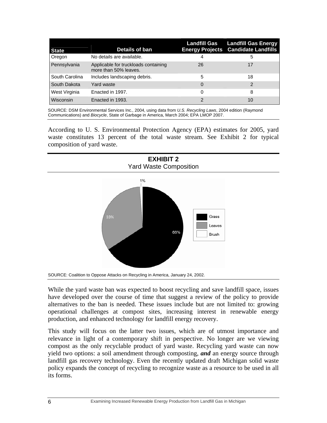| <b>State</b>   | Details of ban                                                | <b>Landfill Gas</b><br><b>Energy Projects</b> | <b>Landfill Gas Energy</b><br><b>Candidate Landfills</b> |
|----------------|---------------------------------------------------------------|-----------------------------------------------|----------------------------------------------------------|
| Oregon         | No details are available.                                     | 4                                             | 5                                                        |
| Pennsylvania   | Applicable for truckloads containing<br>more than 50% leaves. | 26                                            | 17                                                       |
| South Carolina | Includes landscaping debris.                                  | 5                                             | 18                                                       |
| South Dakota   | Yard waste                                                    | 0                                             | $\mathcal{P}$                                            |
| West Virginia  | Enacted in 1997.                                              | 0                                             | 8                                                        |
| Wisconsin      | Enacted in 1993.                                              | 2                                             | 10                                                       |

SOURCE: DSM Environmental Services Inc., 2004, using data from *U.S. Recycling Laws*, 2004 edition (Raymond Communications) and *Biocycle*, State of Garbage in America, March 2004; EPA LMOP 2007.

According to U. S. Environmental Protection Agency (EPA) estimates for 2005, yard waste constitutes 13 percent of the total waste stream. See Exhibit 2 for typical composition of yard waste.





While the yard waste ban was expected to boost recycling and save landfill space, issues have developed over the course of time that suggest a review of the policy to provide alternatives to the ban is needed. These issues include but are not limited to: growing operational challenges at compost sites, increasing interest in renewable energy production, and enhanced technology for landfill energy recovery.

This study will focus on the latter two issues, which are of utmost importance and relevance in light of a contemporary shift in perspective. No longer are we viewing compost as the only recyclable product of yard waste. Recycling yard waste can now yield two options: a soil amendment through composting, *and* an energy source through landfill gas recovery technology. Even the recently updated draft Michigan solid waste policy expands the concept of recycling to recognize waste as a resource to be used in all its forms.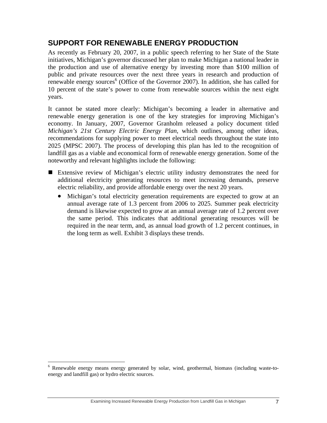### **SUPPORT FOR RENEWABLE ENERGY PRODUCTION**

As recently as February 20, 2007, in a public speech referring to her State of the State initiatives, Michigan's governor discussed her plan to make Michigan a national leader in the production and use of alternative energy by investing more than \$100 million of public and private resources over the next three years in research and production of renewable energy sources<sup>6</sup> (Office of the Governor 2007). In addition, she has called for 10 percent of the state's power to come from renewable sources within the next eight years.

It cannot be stated more clearly: Michigan's becoming a leader in alternative and renewable energy generation is one of the key strategies for improving Michigan's economy. In January, 2007, Governor Granholm released a policy document titled *Michigan's 21st Century Electric Energy Plan*, which outlines, among other ideas, recommendations for supplying power to meet electrical needs throughout the state into 2025 (MPSC 2007). The process of developing this plan has led to the recognition of landfill gas as a viable and economical form of renewable energy generation. Some of the noteworthy and relevant highlights include the following:

- Extensive review of Michigan's electric utility industry demonstrates the need for additional electricity generating resources to meet increasing demands, preserve electric reliability, and provide affordable energy over the next 20 years.
	- Michigan's total electricity generation requirements are expected to grow at an annual average rate of 1.3 percent from 2006 to 2025. Summer peak electricity demand is likewise expected to grow at an annual average rate of 1.2 percent over the same period. This indicates that additional generating resources will be required in the near term, and, as annual load growth of 1.2 percent continues, in the long term as well. Exhibit 3 displays these trends.

<sup>&</sup>lt;sup>6</sup> Renewable energy means energy generated by solar, wind, geothermal, biomass (including waste-toenergy and landfill gas) or hydro electric sources.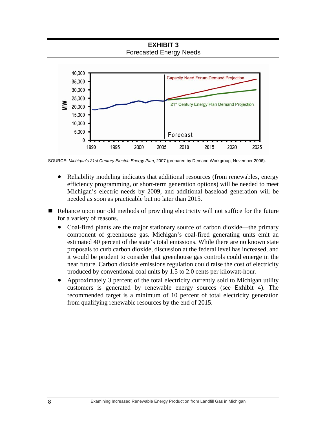**EXHIBIT 3**  Forecasted Energy Needs 40,000 **Capacity Need Forum Demand Projection** 35,000 30,000 25,000 21<sup>st</sup> Century Energy Plan Demand Projection 20,000 15,000 10,000 5,000 Forecast 0 1990 1995 2000 2005 2010 2015 2020 2025

SOURCE: *Michigan's 21st Century Electric Energy Plan*, 2007 (prepared by Demand Workgroup, November 2006).

• Reliability modeling indicates that additional resources (from renewables, energy efficiency programming, or short-term generation options) will be needed to meet Michigan's electric needs by 2009, and additional baseload generation will be needed as soon as practicable but no later than 2015.

Reliance upon our old methods of providing electricity will not suffice for the future for a variety of reasons.

- Coal-fired plants are the major stationary source of carbon dioxide—the primary component of greenhouse gas. Michigan's coal-fired generating units emit an estimated 40 percent of the state's total emissions. While there are no known state proposals to curb carbon dioxide, discussion at the federal level has increased, and it would be prudent to consider that greenhouse gas controls could emerge in the near future. Carbon dioxide emissions regulation could raise the cost of electricity produced by conventional coal units by 1.5 to 2.0 cents per kilowatt-hour.
- Approximately 3 percent of the total electricity currently sold to Michigan utility customers is generated by renewable energy sources (see Exhibit 4). The recommended target is a minimum of 10 percent of total electricity generation from qualifying renewable resources by the end of 2015.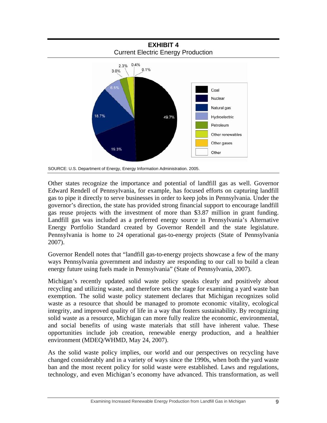

Other states recognize the importance and potential of landfill gas as well. Governor Edward Rendell of Pennsylvania, for example, has focused efforts on capturing landfill gas to pipe it directly to serve businesses in order to keep jobs in Pennsylvania. Under the governor's direction, the state has provided strong financial support to encourage landfill gas reuse projects with the investment of more than \$3.87 million in grant funding. Landfill gas was included as a preferred energy source in Pennsylvania's Alternative Energy Portfolio Standard created by Governor Rendell and the state legislature. Pennsylvania is home to 24 operational gas-to-energy projects (State of Pennsylvania 2007).

Governor Rendell notes that "landfill gas-to-energy projects showcase a few of the many ways Pennsylvania government and industry are responding to our call to build a clean energy future using fuels made in Pennsylvania" (State of Pennsylvania, 2007).

Michigan's recently updated solid waste policy speaks clearly and positively about recycling and utilizing waste, and therefore sets the stage for examining a yard waste ban exemption. The solid waste policy statement declares that Michigan recognizes solid waste as a resource that should be managed to promote economic vitality, ecological integrity, and improved quality of life in a way that fosters sustainability. By recognizing solid waste as a resource, Michigan can more fully realize the economic, environmental, and social benefits of using waste materials that still have inherent value. These opportunities include job creation, renewable energy production, and a healthier environment (MDEQ/WHMD, May 24, 2007).

As the solid waste policy implies, our world and our perspectives on recycling have changed considerably and in a variety of ways since the 1990s, when both the yard waste ban and the most recent policy for solid waste were established. Laws and regulations, technology, and even Michigan's economy have advanced. This transformation, as well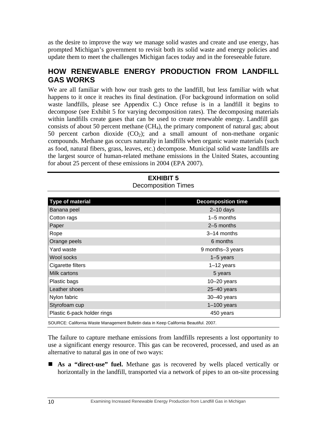as the desire to improve the way we manage solid wastes and create and use energy, has prompted Michigan's government to revisit both its solid waste and energy policies and update them to meet the challenges Michigan faces today and in the foreseeable future.

### **HOW RENEWABLE ENERGY PRODUCTION FROM LANDFILL GAS WORKS**

We are all familiar with how our trash gets to the landfill, but less familiar with what happens to it once it reaches its final destination. (For background information on solid waste landfills, please see Appendix C.) Once refuse is in a landfill it begins to decompose (see Exhibit 5 for varying decomposition rates). The decomposing materials within landfills create gases that can be used to create renewable energy. Landfill gas consists of about 50 percent methane  $(CH<sub>4</sub>)$ , the primary component of natural gas; about 50 percent carbon dioxide  $(CO_2)$ ; and a small amount of non-methane organic compounds. Methane gas occurs naturally in landfills when organic waste materials (such as food, natural fibers, grass, leaves, etc.) decompose. Municipal solid waste landfills are the largest source of human-related methane emissions in the United States, accounting for about 25 percent of these emissions in 2004 (EPA 2007).

| <b>DUUUIIIPUUIIIUII TIIIIUU</b> |                           |
|---------------------------------|---------------------------|
|                                 |                           |
| <b>Type of material</b>         | <b>Decomposition time</b> |
| Banana peel                     | $2-10$ days               |
| Cotton rags                     | $1-5$ months              |
| Paper                           | 2-5 months                |
| Rope                            | 3-14 months               |
| Orange peels                    | 6 months                  |
| Yard waste                      | 9 months-3 years          |
| Wool socks                      | $1-5$ years               |
| Cigarette filters               | $1-12$ years              |
| Milk cartons                    | 5 years                   |
| Plastic bags                    | $10-20$ years             |
| Leather shoes                   | $25 - 40$ years           |
| Nylon fabric                    | $30 - 40$ years           |
| Styrofoam cup                   | $1-100$ years             |
| Plastic 6-pack holder rings     | 450 years                 |

**EXHIBIT 5**  Decomposition Times

SOURCE: California Waste Management Bulletin data in Keep California Beautiful. 2007.

The failure to capture methane emissions from landfills represents a lost opportunity to use a significant energy resource. This gas can be recovered, processed, and used as an alternative to natural gas in one of two ways:

**As a "direct-use" fuel.** Methane gas is recovered by wells placed vertically or horizontally in the landfill, transported via a network of pipes to an on-site processing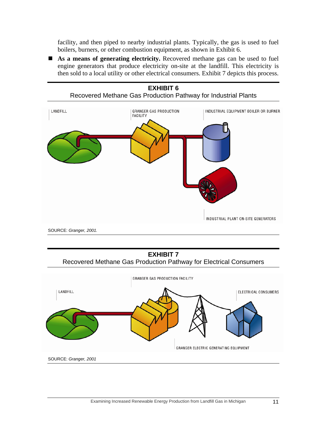facility, and then piped to nearby industrial plants. Typically, the gas is used to fuel boilers, burners, or other combustion equipment, as shown in Exhibit 6.

 **As a means of generating electricity.** Recovered methane gas can be used to fuel engine generators that produce electricity on-site at the landfill. This electricity is then sold to a local utility or other electrical consumers. Exhibit 7 depicts this process.



**EXHIBIT 7**  Recovered Methane Gas Production Pathway for Electrical Consumers

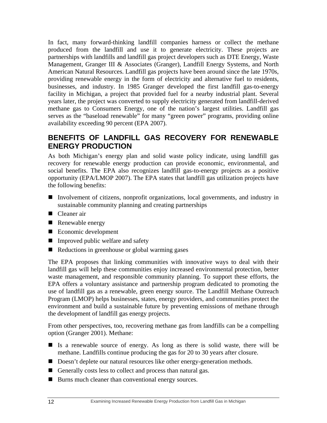In fact, many forward-thinking landfill companies harness or collect the methane produced from the landfill and use it to generate electricity. These projects are partnerships with landfills and landfill gas project developers such as DTE Energy, Waste Management, Granger III & Associates (Granger), Landfill Energy Systems, and North American Natural Resources. Landfill gas projects have been around since the late 1970s, providing renewable energy in the form of electricity and alternative fuel to residents, businesses, and industry. In 1985 Granger developed the first landfill gas-to-energy facility in Michigan, a project that provided fuel for a nearby industrial plant. Several years later, the project was converted to supply electricity generated from landfill-derived methane gas to Consumers Energy, one of the nation's largest utilities. Landfill gas serves as the "baseload renewable" for many "green power" programs, providing online availability exceeding 90 percent (EPA 2007).

## **BENEFITS OF LANDFILL GAS RECOVERY FOR RENEWABLE ENERGY PRODUCTION**

As both Michigan's energy plan and solid waste policy indicate, using landfill gas recovery for renewable energy production can provide economic, environmental, and social benefits. The EPA also recognizes landfill gas-to-energy projects as a positive opportunity (EPA/LMOP 2007). The EPA states that landfill gas utilization projects have the following benefits:

- Involvement of citizens, nonprofit organizations, local governments, and industry in sustainable community planning and creating partnerships
- Cleaner air
- Renewable energy
- Economic development
- $\blacksquare$  Improved public welfare and safety
- Reductions in greenhouse or global warming gases

The EPA proposes that linking communities with innovative ways to deal with their landfill gas will help these communities enjoy increased environmental protection, better waste management, and responsible community planning. To support these efforts, the EPA offers a voluntary assistance and partnership program dedicated to promoting the use of landfill gas as a renewable, green energy source. The Landfill Methane Outreach Program (LMOP) helps businesses, states, energy providers, and communities protect the environment and build a sustainable future by preventing emissions of methane through the development of landfill gas energy projects.

From other perspectives, too, recovering methane gas from landfills can be a compelling option (Granger 2001). Methane:

- Is a renewable source of energy. As long as there is solid waste, there will be methane. Landfills continue producing the gas for 20 to 30 years after closure.
- Doesn't deplete our natural resources like other energy-generation methods.
- Generally costs less to collect and process than natural gas.
- Burns much cleaner than conventional energy sources.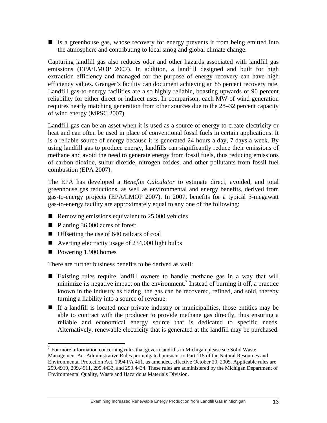Is a greenhouse gas, whose recovery for energy prevents it from being emitted into the atmosphere and contributing to local smog and global climate change.

Capturing landfill gas also reduces odor and other hazards associated with landfill gas emissions (EPA/LMOP 2007). In addition, a landfill designed and built for high extraction efficiency and managed for the purpose of energy recovery can have high efficiency values. Granger's facility can document achieving an 85 percent recovery rate. Landfill gas-to-energy facilities are also highly reliable, boasting upwards of 90 percent reliability for either direct or indirect uses. In comparison, each MW of wind generation requires nearly matching generation from other sources due to the 28–32 percent capacity of wind energy (MPSC 2007).

Landfill gas can be an asset when it is used as a source of energy to create electricity or heat and can often be used in place of conventional fossil fuels in certain applications. It is a reliable source of energy because it is generated 24 hours a day, 7 days a week. By using landfill gas to produce energy, landfills can significantly reduce their emissions of methane and avoid the need to generate energy from fossil fuels, thus reducing emissions of carbon dioxide, sulfur dioxide, nitrogen oxides, and other pollutants from fossil fuel combustion (EPA 2007).

The EPA has developed a *Benefits Calculator* to estimate direct, avoided, and total greenhouse gas reductions, as well as environmental and energy benefits, derived from gas-to-energy projects (EPA/LMOP 2007). In 2007, benefits for a typical 3-megawatt gas-to-energy facility are approximately equal to any one of the following:

- Removing emissions equivalent to  $25,000$  vehicles
- Planting 36,000 acres of forest
- Offsetting the use of 640 railcars of coal
- $\blacksquare$  Averting electricity usage of 234,000 light bulbs
- Powering 1,900 homes

1

There are further business benefits to be derived as well:

- Existing rules require landfill owners to handle methane gas in a way that will minimize its negative impact on the environment.<sup>7</sup> Instead of burning it off, a practice known in the industry as flaring, the gas can be recovered, refined, and sold, thereby turning a liability into a source of revenue.
- If a landfill is located near private industry or municipalities, those entities may be able to contract with the producer to provide methane gas directly, thus ensuring a reliable and economical energy source that is dedicated to specific needs. Alternatively, renewable electricity that is generated at the landfill may be purchased.

 $<sup>7</sup>$  For more information concerning rules that govern landfills in Michigan please see Solid Waste</sup> Management Act Administrative Rules promulgated pursuant to Part 115 of the Natural Resources and Environmental Protection Act, 1994 PA 451, as amended, effective October 20, 2005. Applicable rules are 299.4910, 299.4911, 299.4433, and 299.4434. These rules are administered by the Michigan Department of Environmental Quality, Waste and Hazardous Materials Division.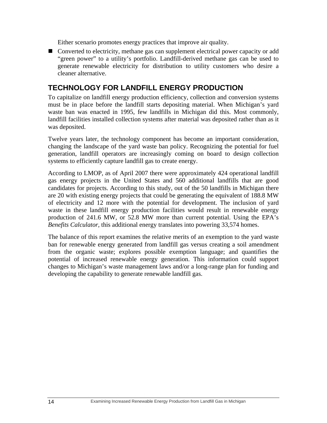Either scenario promotes energy practices that improve air quality.

■ Converted to electricity, methane gas can supplement electrical power capacity or add "green power" to a utility's portfolio. Landfill-derived methane gas can be used to generate renewable electricity for distribution to utility customers who desire a cleaner alternative.

## **TECHNOLOGY FOR LANDFILL ENERGY PRODUCTION**

To capitalize on landfill energy production efficiency, collection and conversion systems must be in place before the landfill starts depositing material. When Michigan's yard waste ban was enacted in 1995, few landfills in Michigan did this. Most commonly, landfill facilities installed collection systems after material was deposited rather than as it was deposited.

Twelve years later, the technology component has become an important consideration, changing the landscape of the yard waste ban policy. Recognizing the potential for fuel generation, landfill operators are increasingly coming on board to design collection systems to efficiently capture landfill gas to create energy.

According to LMOP, as of April 2007 there were approximately 424 operational landfill gas energy projects in the United States and 560 additional landfills that are good candidates for projects. According to this study, out of the 50 landfills in Michigan there are 20 with existing energy projects that could be generating the equivalent of 188.8 MW of electricity and 12 more with the potential for development. The inclusion of yard waste in these landfill energy production facilities would result in renewable energy production of 241.6 MW, or 52.8 MW more than current potential. Using the EPA's *Benefits Calculator,* this additional energy translates into powering 33,574 homes.

The balance of this report examines the relative merits of an exemption to the yard waste ban for renewable energy generated from landfill gas versus creating a soil amendment from the organic waste; explores possible exemption language; and quantifies the potential of increased renewable energy generation. This information could support changes to Michigan's waste management laws and/or a long-range plan for funding and developing the capability to generate renewable landfill gas.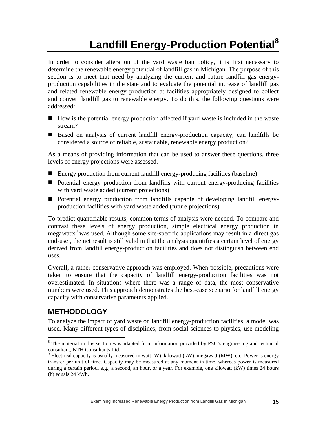# **Landfill Energy-Production Potential<sup>8</sup>**

In order to consider alteration of the yard waste ban policy, it is first necessary to determine the renewable energy potential of landfill gas in Michigan. The purpose of this section is to meet that need by analyzing the current and future landfill gas energyproduction capabilities in the state and to evaluate the potential increase of landfill gas and related renewable energy production at facilities appropriately designed to collect and convert landfill gas to renewable energy. To do this, the following questions were addressed:

- $\blacksquare$  How is the potential energy production affected if yard waste is included in the waste stream?
- Based on analysis of current landfill energy-production capacity, can landfills be considered a source of reliable, sustainable, renewable energy production?

As a means of providing information that can be used to answer these questions, three levels of energy projections were assessed.

- Energy production from current landfill energy-producing facilities (baseline)
- Potential energy production from landfills with current energy-producing facilities with yard waste added (current projections)
- Potential energy production from landfills capable of developing landfill energyproduction facilities with yard waste added (future projections)

To predict quantifiable results, common terms of analysis were needed. To compare and contrast these levels of energy production, simple electrical energy production in megawatts<sup>9</sup> was used. Although some site-specific applications may result in a direct gas end-user, the net result is still valid in that the analysis quantifies a certain level of energy derived from landfill energy-production facilities and does not distinguish between end uses.

Overall, a rather conservative approach was employed. When possible, precautions were taken to ensure that the capacity of landfill energy-production facilities was not overestimated. In situations where there was a range of data, the most conservative numbers were used. This approach demonstrates the best-case scenario for landfill energy capacity with conservative parameters applied.

## **METHODOLOGY**

 $\overline{a}$ 

To analyze the impact of yard waste on landfill energy-production facilities, a model was used. Many different types of disciplines, from social sciences to physics, use modeling

<sup>&</sup>lt;sup>8</sup> The material in this section was adapted from information provided by PSC's engineering and technical consultant, NTH Consultants Ltd.

<sup>&</sup>lt;sup>9</sup> Electrical capacity is usually measured in watt (W), kilowatt (kW), megawatt (MW), etc. Power is energy transfer per unit of time. Capacity may be measured at any moment in time, whereas power is measured during a certain period, e.g., a second, an hour, or a year. For example, one kilowatt (kW) times 24 hours (h) equals 24 kWh.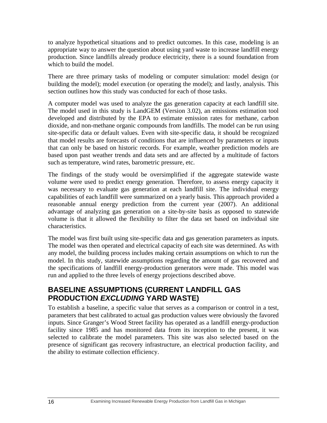to analyze hypothetical situations and to predict outcomes. In this case, modeling is an appropriate way to answer the question about using yard waste to increase landfill energy production. Since landfills already produce electricity, there is a sound foundation from which to build the model.

There are three primary tasks of modeling or computer simulation: model design (or building the model); model execution (or operating the model); and lastly, analysis. This section outlines how this study was conducted for each of those tasks.

A computer model was used to analyze the gas generation capacity at each landfill site. The model used in this study is LandGEM (Version 3.02), an emissions estimation tool developed and distributed by the EPA to estimate emission rates for methane, carbon dioxide, and non-methane organic compounds from landfills. The model can be run using site-specific data or default values. Even with site-specific data, it should be recognized that model results are forecasts of conditions that are influenced by parameters or inputs that can only be based on historic records. For example, weather prediction models are based upon past weather trends and data sets and are affected by a multitude of factors such as temperature, wind rates, barometric pressure, etc.

The findings of the study would be oversimplified if the aggregate statewide waste volume were used to predict energy generation. Therefore, to assess energy capacity it was necessary to evaluate gas generation at each landfill site. The individual energy capabilities of each landfill were summarized on a yearly basis. This approach provided a reasonable annual energy prediction from the current year (2007). An additional advantage of analyzing gas generation on a site-by-site basis as opposed to statewide volume is that it allowed the flexibility to filter the data set based on individual site characteristics.

The model was first built using site-specific data and gas generation parameters as inputs. The model was then operated and electrical capacity of each site was determined. As with any model, the building process includes making certain assumptions on which to run the model. In this study, statewide assumptions regarding the amount of gas recovered and the specifications of landfill energy-production generators were made. This model was run and applied to the three levels of energy projections described above.

### **BASELINE ASSUMPTIONS (CURRENT LANDFILL GAS PRODUCTION** *EXCLUDING* **YARD WASTE)**

To establish a baseline, a specific value that serves as a comparison or control in a test, parameters that best calibrated to actual gas production values were obviously the favored inputs. Since Granger's Wood Street facility has operated as a landfill energy-production facility since 1985 and has monitored data from its inception to the present, it was selected to calibrate the model parameters. This site was also selected based on the presence of significant gas recovery infrastructure, an electrical production facility, and the ability to estimate collection efficiency.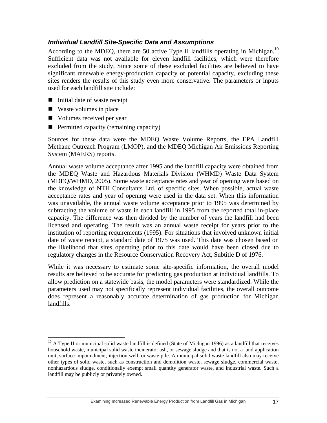#### *Individual Landfill Site-Specific Data and Assumptions*

According to the MDEQ, there are 50 active Type II landfills operating in Michigan.<sup>10</sup> Sufficient data was not available for eleven landfill facilities, which were therefore excluded from the study. Since some of these excluded facilities are believed to have significant renewable energy-production capacity or potential capacity, excluding these sites renders the results of this study even more conservative. The parameters or inputs used for each landfill site include:

- $\blacksquare$  Initial date of waste receipt
- Waste volumes in place

<u>.</u>

- Volumes received per year
- $\blacksquare$  Permitted capacity (remaining capacity)

Sources for these data were the MDEQ Waste Volume Reports, the EPA Landfill Methane Outreach Program (LMOP), and the MDEQ Michigan Air Emissions Reporting System (MAERS) reports.

Annual waste volume acceptance after 1995 and the landfill capacity were obtained from the MDEQ Waste and Hazardous Materials Division (WHMD) Waste Data System (MDEQ/WHMD, 2005). Some waste acceptance rates and year of opening were based on the knowledge of NTH Consultants Ltd. of specific sites. When possible, actual waste acceptance rates and year of opening were used in the data set. When this information was unavailable, the annual waste volume acceptance prior to 1995 was determined by subtracting the volume of waste in each landfill in 1995 from the reported total in-place capacity. The difference was then divided by the number of years the landfill had been licensed and operating. The result was an annual waste receipt for years prior to the institution of reporting requirements (1995). For situations that involved unknown initial date of waste receipt, a standard date of 1975 was used. This date was chosen based on the likelihood that sites operating prior to this date would have been closed due to regulatory changes in the Resource Conservation Recovery Act, Subtitle D of 1976.

While it was necessary to estimate some site-specific information, the overall model results are believed to be accurate for predicting gas production at individual landfills. To allow prediction on a statewide basis, the model parameters were standardized. While the parameters used may not specifically represent individual facilities, the overall outcome does represent a reasonably accurate determination of gas production for Michigan landfills.

 $10$  A Type II or municipal solid waste landfill is defined (State of Michigan 1996) as a landfill that receives household waste, municipal solid waste incinerator ash, or sewage sludge and that is not a land application unit, surface impoundment, injection well, or waste pile. A municipal solid waste landfill also may receive other types of solid waste, such as construction and demolition waste, sewage sludge, commercial waste, nonhazardous sludge, conditionally exempt small quantity generator waste, and industrial waste. Such a landfill may be publicly or privately owned.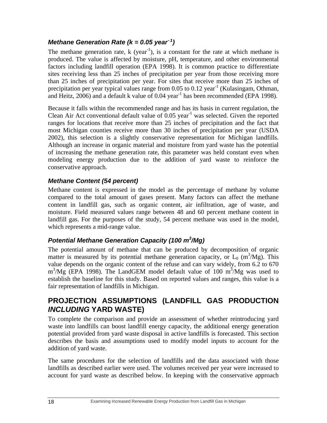#### *Methane Generation Rate (k = 0.05 year-1)*

The methane generation rate,  $k$  (year<sup>-1</sup>), is a constant for the rate at which methane is produced. The value is affected by moisture, pH, temperature, and other environmental factors including landfill operation (EPA 1998). It is common practice to differentiate sites receiving less than 25 inches of precipitation per year from those receiving more than 25 inches of precipitation per year. For sites that receive more than 25 inches of precipitation per year typical values range from  $0.05$  to  $0.12$  year<sup>-1</sup> (Kulasingam, Othman, and Heitz, 2006) and a default k value of 0.04 year<sup>-1</sup> has been recommended (EPA 1998).

Because it falls within the recommended range and has its basis in current regulation, the Clean Air Act conventional default value of  $0.05$  year<sup>-1</sup> was selected. Given the reported ranges for locations that receive more than 25 inches of precipitation and the fact that most Michigan counties receive more than 30 inches of precipitation per year (USDA 2002), this selection is a slightly conservative representation for Michigan landfills. Although an increase in organic material and moisture from yard waste has the potential of increasing the methane generation rate, this parameter was held constant even when modeling energy production due to the addition of yard waste to reinforce the conservative approach.

#### *Methane Content (54 percent)*

Methane content is expressed in the model as the percentage of methane by volume compared to the total amount of gases present. Many factors can affect the methane content in landfill gas, such as organic content, air infiltration, age of waste, and moisture. Field measured values range between 48 and 60 percent methane content in landfill gas. For the purposes of the study, 54 percent methane was used in the model, which represents a mid-range value.

#### **Potential Methane Generation Capacity (100 m<sup>3</sup>/Mg)**

The potential amount of methane that can be produced by decomposition of organic matter is measured by its potential methane generation capacity, or  $L_0$  (m<sup>3</sup>/Mg). This value depends on the organic content of the refuse and can vary widely, from 6.2 to 670  $m^3/Mg$  (EPA 1998). The LandGEM model default value of 100  $m^3/Mg$  was used to establish the baseline for this study. Based on reported values and ranges, this value is a fair representation of landfills in Michigan.

## **PROJECTION ASSUMPTIONS (LANDFILL GAS PRODUCTION**  *INCLUDING* **YARD WASTE)**

To complete the comparison and provide an assessment of whether reintroducing yard waste into landfills can boost landfill energy capacity, the additional energy generation potential provided from yard waste disposal in active landfills is forecasted. This section describes the basis and assumptions used to modify model inputs to account for the addition of yard waste.

The same procedures for the selection of landfills and the data associated with those landfills as described earlier were used. The volumes received per year were increased to account for yard waste as described below. In keeping with the conservative approach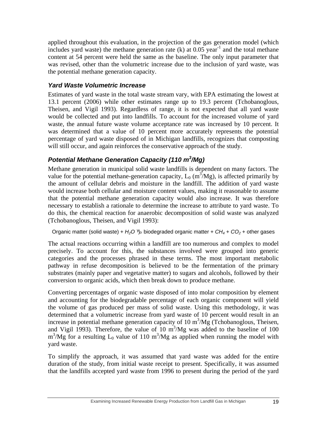applied throughout this evaluation, in the projection of the gas generation model (which includes yard waste) the methane generation rate (k) at  $0.05$  year<sup>-1</sup> and the total methane content at 54 percent were held the same as the baseline. The only input parameter that was revised, other than the volumetric increase due to the inclusion of yard waste, was the potential methane generation capacity.

#### *Yard Waste Volumetric Increase*

Estimates of yard waste in the total waste stream vary, with EPA estimating the lowest at 13.1 percent (2006) while other estimates range up to 19.3 percent (Tchobanoglous, Theisen, and Vigil 1993). Regardless of range, it is not expected that all yard waste would be collected and put into landfills. To account for the increased volume of yard waste, the annual future waste volume acceptance rate was increased by 10 percent. It was determined that a value of 10 percent more accurately represents the potential percentage of yard waste disposed of in Michigan landfills, recognizes that composting will still occur, and again reinforces the conservative approach of the study.

### **Potential Methane Generation Capacity (110 m<sup>3</sup>/Mg)**

Methane generation in municipal solid waste landfills is dependent on many factors. The value for the potential methane-generation capacity,  $L_0$  (m<sup>3</sup>/Mg), is affected primarily by the amount of cellular debris and moisture in the landfill. The addition of yard waste would increase both cellular and moisture content values, making it reasonable to assume that the potential methane generation capacity would also increase. It was therefore necessary to establish a rationale to determine the increase to attribute to yard waste. To do this, the chemical reaction for anaerobic decomposition of solid waste was analyzed (Tchobanoglous, Theisen, and Vigil 1993):

Organic matter (solid waste) +  $H_2O$  <sup>n</sup> biodegraded organic matter +  $CH_4$  +  $CO_2$  + other gases

The actual reactions occurring within a landfill are too numerous and complex to model precisely. To account for this, the substances involved were grouped into generic categories and the processes phrased in these terms. The most important metabolic pathway in refuse decomposition is believed to be the fermentation of the primary substrates (mainly paper and vegetative matter) to sugars and alcohols, followed by their conversion to organic acids, which then break down to produce methane.

Converting percentages of organic waste disposed of into molar composition by element and accounting for the biodegradable percentage of each organic component will yield the volume of gas produced per mass of solid waste. Using this methodology, it was determined that a volumetric increase from yard waste of 10 percent would result in an increase in potential methane generation capacity of 10  $\text{m}^3/\text{Mg}$  (Tchobanoglous, Theisen, and Vigil 1993). Therefore, the value of  $10 \text{ m}^3/\text{Mg}$  was added to the baseline of 100  $m^3/Mg$  for a resulting L<sub>0</sub> value of 110  $m^3/Mg$  as applied when running the model with yard waste.

To simplify the approach, it was assumed that yard waste was added for the entire duration of the study, from initial waste receipt to present. Specifically, it was assumed that the landfills accepted yard waste from 1996 to present during the period of the yard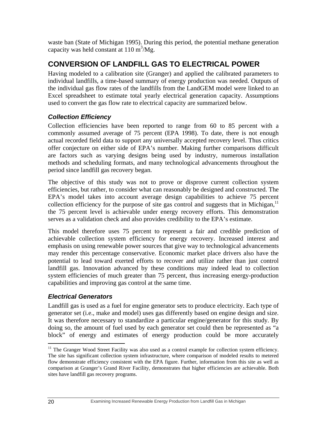waste ban (State of Michigan 1995). During this period, the potential methane generation capacity was held constant at  $110 \text{ m}^3/\text{Mg}$ .

# **CONVERSION OF LANDFILL GAS TO ELECTRICAL POWER**

Having modeled to a calibration site (Granger) and applied the calibrated parameters to individual landfills, a time-based summary of energy production was needed. Outputs of the individual gas flow rates of the landfills from the LandGEM model were linked to an Excel spreadsheet to estimate total yearly electrical generation capacity. Assumptions used to convert the gas flow rate to electrical capacity are summarized below.

#### *Collection Efficiency*

Collection efficiencies have been reported to range from 60 to 85 percent with a commonly assumed average of 75 percent (EPA 1998). To date, there is not enough actual recorded field data to support any universally accepted recovery level. Thus critics offer conjecture on either side of EPA's number. Making further comparisons difficult are factors such as varying designs being used by industry, numerous installation methods and scheduling formats, and many technological advancements throughout the period since landfill gas recovery began.

The objective of this study was not to prove or disprove current collection system efficiencies, but rather, to consider what can reasonably be designed and constructed. The EPA's model takes into account average design capabilities to achieve 75 percent collection efficiency for the purpose of site gas control and suggests that in Michigan,  $11$ the 75 percent level is achievable under energy recovery efforts. This demonstration serves as a validation check and also provides credibility to the EPA's estimate.

This model therefore uses 75 percent to represent a fair and credible prediction of achievable collection system efficiency for energy recovery. Increased interest and emphasis on using renewable power sources that give way to technological advancements may render this percentage conservative. Economic market place drivers also have the potential to lead toward exerted efforts to recover and utilize rather than just control landfill gas. Innovation advanced by these conditions may indeed lead to collection system efficiencies of much greater than 75 percent, thus increasing energy-production capabilities and improving gas control at the same time.

#### *Electrical Generators*

Landfill gas is used as a fuel for engine generator sets to produce electricity. Each type of generator set (i.e., make and model) uses gas differently based on engine design and size. It was therefore necessary to standardize a particular engine/generator for this study. By doing so, the amount of fuel used by each generator set could then be represented as "a block" of energy and estimates of energy production could be more accurately

<sup>1</sup>  $11$  The Granger Wood Street Facility was also used as a control example for collection system efficiency. The site has significant collection system infrastructure, where comparison of modeled results to metered flow demonstrate efficiency consistent with the EPA figure. Further, information from this site as well as comparison at Granger's Grand River Facility, demonstrates that higher efficiencies are achievable. Both sites have landfill gas recovery programs.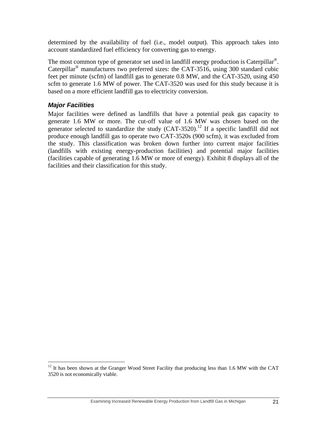determined by the availability of fuel (i.e., model output). This approach takes into account standardized fuel efficiency for converting gas to energy.

The most common type of generator set used in landfill energy production is Caterpillar<sup>®</sup>. Caterpillar® manufactures two preferred sizes: the CAT-3516, using 300 standard cubic feet per minute (scfm) of landfill gas to generate 0.8 MW, and the CAT-3520, using 450 scfm to generate 1.6 MW of power. The CAT-3520 was used for this study because it is based on a more efficient landfill gas to electricity conversion.

#### *Major Facilities*

 $\overline{a}$ 

Major facilities were defined as landfills that have a potential peak gas capacity to generate 1.6 MW or more. The cut-off value of 1.6 MW was chosen based on the generator selected to standardize the study  $(CAT-3520)$ .<sup>12</sup> If a specific landfill did not produce enough landfill gas to operate two CAT-3520s (900 scfm), it was excluded from the study. This classification was broken down further into current major facilities (landfills with existing energy-production facilities) and potential major facilities (facilities capable of generating 1.6 MW or more of energy). Exhibit 8 displays all of the facilities and their classification for this study.

 $12$  It has been shown at the Granger Wood Street Facility that producing less than 1.6 MW with the CAT 3520 is not economically viable.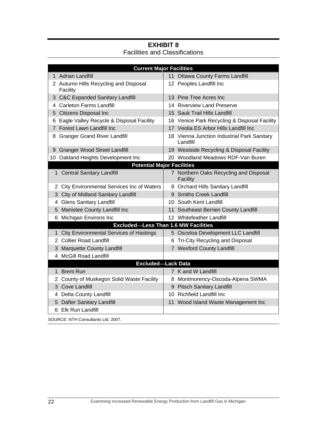|   | <b>Current Major Facilities</b>                   |    |                                                         |
|---|---------------------------------------------------|----|---------------------------------------------------------|
|   | 1 Adrian Landfill                                 |    | 11 Ottawa County Farms Landfill                         |
|   | 2 Autumn Hills Recycling and Disposal<br>Facility |    | 12 Peoples Landfill Inc                                 |
|   | 3 C&C Expanded Sanitary Landfill                  |    | 13 Pine Tree Acres Inc                                  |
| 4 | <b>Carleton Farms Landfill</b>                    |    | 14 Riverview Land Preserve                              |
|   | 5 Citizens Disposal Inc                           |    | 15 Sauk Trail Hills Landfill                            |
| 6 | Eagle Valley Recycle & Disposal Facility          |    | 16 Venice Park Recycling & Disposal Facility            |
|   | 7 Forest Lawn Landfill Inc                        |    | 17 Veolia ES Arbor Hills Landfill Inc                   |
|   | 8 Granger Grand River Landfill                    |    | 18 Vienna Junction Industrial Park Sanitary<br>Landfill |
| 9 | <b>Granger Wood Street Landfill</b>               |    | 19 Westside Recycling & Disposal Facility               |
|   | 10 Oakland Heights Development Inc                |    | 20 Woodland Meadows RDF-Van Buren                       |
|   | <b>Potential Major Facilities</b>                 |    |                                                         |
|   | 1 Central Sanitary Landfill                       |    | 7 Northern Oaks Recycling and Disposal<br>Facility      |
|   | 2 City Environmental Services Inc of Waters       |    | 8 Orchard Hills Sanitary Landfill                       |
|   | 3 City of Midland Sanitary Landfill               |    | 9 Smiths Creek Landfill                                 |
|   | 4 Glens Sanitary Landfill                         |    | 10 South Kent Landfill                                  |
|   | 5 Manistee County Landfill Inc                    |    | 11 Southeast Berrien County Landfill                    |
|   | 6 Michigan Environs Inc                           |    | 12 Whitefeather Landfill                                |
|   | <b>Excluded-Less Than 1.6 MW Facilities</b>       |    |                                                         |
|   | 1 City Environmental Services of Hastings         |    | 5 Osceloa Development LLC Landfill                      |
|   | 2 Collier Road Landfill                           |    | 6 Tri-City Recycling and Disposal                       |
|   | 3 Marquette County Landfill                       |    | 7 Wexford County Landfill                               |
|   | 4 McGill Road Landfill                            |    |                                                         |
|   | <b>Excluded-</b>                                  |    | <b>-Lack Data</b>                                       |
|   | 1 Brent Run                                       |    | 7 K and W Landfill                                      |
|   | 2 County of Muskegon Solid Waste Facility         |    | 8 Montmorency-Oscoda-Alpena SWMA                        |
|   | 3 Cove Landfill                                   |    | 9 Pitsch Sanitary Landfill                              |
|   | 4 Delta County Landfill                           |    | 10 Richfield Landfill Inc                               |
|   | 5 Dafter Sanitary Landfill                        | 11 | Wood Island Waste Management Inc                        |
|   | 6 Elk Run Landfill                                |    |                                                         |
|   | COLIDCE: NTH Concultants Ltd. 2007                |    |                                                         |

#### **EXHIBIT 8**  Facilities and Classifications

SOURCE: NTH Consultants Ltd. 2007.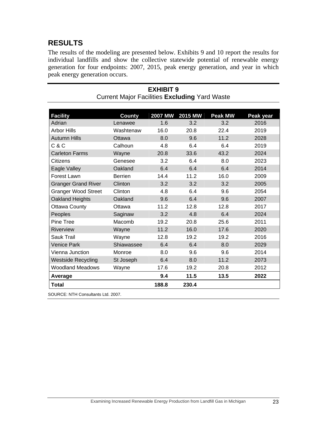# **RESULTS**

The results of the modeling are presented below. Exhibits 9 and 10 report the results for individual landfills and show the collective statewide potential of renewable energy generation for four endpoints: 2007, 2015, peak energy generation, and year in which peak energy generation occurs.

| County         | <b>2007 MW</b> | 2015 MW | <b>Peak MW</b> | Peak year                                            |
|----------------|----------------|---------|----------------|------------------------------------------------------|
| Lenawee        | 1.6            | 3.2     | 3.2            | 2016                                                 |
| Washtenaw      | 16.0           | 20.8    | 22.4           | 2019                                                 |
| Ottawa         | 8.0            | 9.6     | 11.2           | 2028                                                 |
| Calhoun        | 4.8            | 6.4     | 6.4            | 2019                                                 |
| Wayne          | 20.8           | 33.6    | 43.2           | 2024                                                 |
| Genesee        | 3.2            | 6.4     | 8.0            | 2023                                                 |
| Oakland        | 6.4            | 6.4     | 6.4            | 2014                                                 |
| <b>Berrien</b> | 14.4           | 11.2    | 16.0           | 2009                                                 |
| Clinton        | 3.2            | 3.2     | 3.2            | 2005                                                 |
| Clinton        | 4.8            | 6.4     | 9.6            | 2054                                                 |
| Oakland        | 9.6            | 6.4     | 9.6            | 2007                                                 |
| Ottawa         | 11.2           | 12.8    | 12.8           | 2017                                                 |
| Saginaw        | 3.2            | 4.8     | 6.4            | 2024                                                 |
| Macomb         | 19.2           | 20.8    | 25.6           | 2011                                                 |
| Wayne          | 11.2           | 16.0    | 17.6           | 2020                                                 |
| Wayne          | 12.8           | 19.2    | 19.2           | 2016                                                 |
| Shiawassee     | 6.4            | 6.4     | 8.0            | 2029                                                 |
| Monroe         | 8.0            | 9.6     | 9.6            | 2014                                                 |
| St Joseph      | 6.4            | 8.0     | 11.2           | 2073                                                 |
| Wayne          | 17.6           | 19.2    | 20.8           | 2012                                                 |
|                | 9.4            | 11.5    | 13.5           | 2022                                                 |
|                | 188.8          | 230.4   |                |                                                      |
|                |                |         |                | <b>Current Major Facilities Excluding Yard Waste</b> |

#### **EXHIBIT 9**  Current Major Facilities **Excluding** Yard Waste

SOURCE: NTH Consultants Ltd. 2007.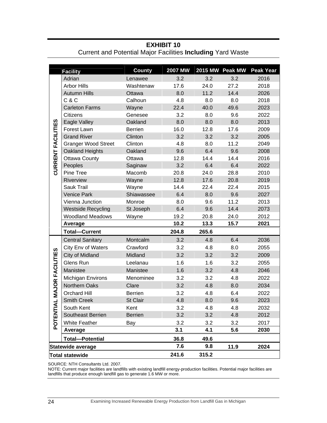#### **EXHIBIT 10**  Current and Potential Major Facilities **Including** Yard Waste

|                   | <b>Facility</b>            | <b>County</b>   | <b>2007 MW</b> |       | 2015 MW Peak MW | <b>Peak Year</b> |
|-------------------|----------------------------|-----------------|----------------|-------|-----------------|------------------|
|                   | Adrian                     | Lenawee         | 3.2            | 3.2   | 3.2             | 2016             |
|                   | Arbor Hills                | Washtenaw       | 17.6           | 24.0  | 27.2            | 2018             |
|                   | <b>Autumn Hills</b>        | Ottawa          | 8.0            | 11.2  | 14.4            | 2026             |
|                   | C & C                      | Calhoun         | 4.8            | 8.0   | 8.0             | 2018             |
|                   | <b>Carleton Farms</b>      | Wayne           | 22.4           | 40.0  | 49.6            | 2023             |
|                   | Citizens                   | Genesee         | 3.2            | 8.0   | 9.6             | 2022             |
|                   | Eagle Valley               | Oakland         | 8.0            | 8.0   | 8.0             | 2013             |
| <b>FACILITIES</b> | Forest Lawn                | Berrien         | 16.0           | 12.8  | 17.6            | 2009             |
|                   | <b>Grand River</b>         | Clinton         | 3.2            | 3.2   | 3.2             | 2005             |
|                   | <b>Granger Wood Street</b> | Clinton         | 4.8            | 8.0   | 11.2            | 2049             |
|                   | Oakland Heights            | Oakland         | 9.6            | 6.4   | 9.6             | 2008             |
| CURRENT           | <b>Ottawa County</b>       | Ottawa          | 12.8           | 14.4  | 14.4            | 2016             |
|                   | Peoples                    | Saginaw         | 3.2            | 6.4   | 6.4             | 2022             |
|                   | Pine Tree                  | Macomb          | 20.8           | 24.0  | 28.8            | 2010             |
|                   | Riverview                  | Wayne           | 12.8           | 17.6  | 20.8            | 2019             |
|                   | Sauk Trail                 | Wayne           | 14.4           | 22.4  | 22.4            | 2015             |
|                   | <b>Venice Park</b>         | Shiawassee      | 6.4            | 8.0   | 9.6             | 2027             |
|                   | Vienna Junction            | Monroe          | 8.0            | 9.6   | 11.2            | 2013             |
|                   | <b>Westside Recycling</b>  | St Joseph       | 6.4            | 9.6   | 14.4            | 2073             |
|                   | <b>Woodland Meadows</b>    | Wayne           | 19.2           | 20.8  | 24.0            | 2012             |
|                   | Average                    |                 | 10.2           | 13.3  | 15.7            | 2021             |
|                   | <b>Total-Current</b>       |                 | 204.8          | 265.6 |                 |                  |
|                   | <b>Central Sanitary</b>    | Montcalm        | 3.2            | 4.8   | 6.4             | 2036             |
|                   | City Env of Waters         | Crawford        | 3.2            | 4.8   | 8.0             | 2055             |
|                   | City of Midland            | Midland         | 3.2            | 3.2   | 3.2             | 2009             |
|                   | Glens Run                  | Leelanau        | 1.6            | 1.6   | 3.2             | 2055             |
| <b>FACILITIES</b> | Manistee                   | Manistee        | 1.6            | 3.2   | 4.8             | 2046             |
|                   | Michigan Environs          | Menominee       | 3.2            | 3.2   | 4.8             | 2022             |
| <b>MAJOR</b>      | Northern Oaks              | Clare           | 3.2            | 4.8   | 8.0             | 2034             |
|                   | <b>Orchard Hill</b>        | Berrien         | 3.2            | 4.8   | 6.4             | 2022             |
| ┙                 | <b>Smith Creek</b>         | <b>St Clair</b> | 4.8            | 8.0   | 9.6             | 2023             |
|                   | South Kent                 | Kent            | 3.2            | 4.8   | 4.8             | 2032             |
|                   | Southeast Berrien          | <b>Berrien</b>  | 3.2            | 3.2   | 4.8             | 2012             |
| POTENTIA          | White Feather              | Bay             | 3.2            | 3.2   | 3.2             | 2017             |
|                   | Average                    |                 | 3.1            | 4.1   | 5.6             | 2030             |
|                   | <b>Total-Potential</b>     | 36.8            | 49.6           |       |                 |                  |
|                   | <b>Statewide average</b>   | 7.6             | 9.8            | 11.9  | 2024            |                  |
|                   | <b>Total statewide</b>     |                 | 241.6          | 315.2 |                 |                  |

SOURCE: NTH Consultants Ltd. 2007.

NOTE: Current major facilities are landfills with existing landfill energy-production facilities. Potential major facilities are landfills that produce enough landfill gas to generate 1.6 MW or more.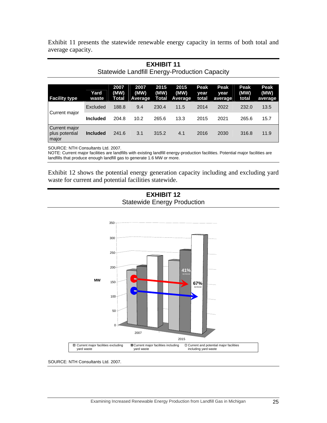Exhibit 11 presents the statewide renewable energy capacity in terms of both total and average capacity.

|                                          |                 |                       |                         | <b>EXHIBIT 11</b>            | <b>Statewide Landfill Energy-Production Capacity</b> |                       |                         |                       |                         |
|------------------------------------------|-----------------|-----------------------|-------------------------|------------------------------|------------------------------------------------------|-----------------------|-------------------------|-----------------------|-------------------------|
| <b>Facility type</b>                     | Yard<br>waste   | 2007<br>(MW)<br>Total | 2007<br>(MW)<br>Average | 2015<br>(MW)<br><b>Total</b> | 2015<br>(MW)<br>Average                              | Peak<br>year<br>total | Peak<br>year<br>average | Peak<br>(MW)<br>total | Peak<br>(MW)<br>average |
|                                          | Excluded        | 188.8                 | 9.4                     | 230.4                        | 11.5                                                 | 2014                  | 2022                    | 232.0                 | 13.5                    |
| Current major                            | <b>Included</b> | 204.8                 | 10.2                    | 265.6                        | 13.3                                                 | 2015                  | 2021                    | 265.6                 | 15.7                    |
| Current major<br>plus potential<br>major | <b>Included</b> | 241.6                 | 3.1                     | 315.2                        | 4.1                                                  | 2016                  | 2030                    | 316.8                 | 11.9                    |

SOURCE: NTH Consultants Ltd. 2007.

NOTE: Current major facilities are landfills with existing landfill energy-production facilities. Potential major facilities are landfills that produce enough landfill gas to generate 1.6 MW or more.

Exhibit 12 shows the potential energy generation capacity including and excluding yard waste for current and potential facilities statewide.





SOURCE: NTH Consultants Ltd. 2007.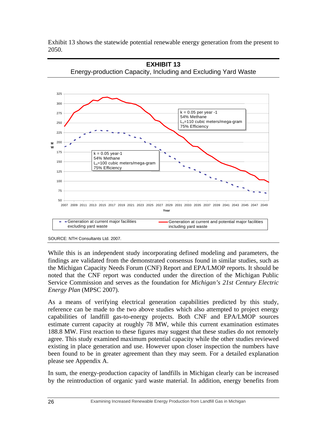Exhibit 13 shows the statewide potential renewable energy generation from the present to 2050.



While this is an independent study incorporating defined modeling and parameters, the findings are validated from the demonstrated consensus found in similar studies, such as the Michigan Capacity Needs Forum (CNF) Report and EPA/LMOP reports. It should be noted that the CNF report was conducted under the direction of the Michigan Public Service Commission and serves as the foundation for *Michigan's 21st Century Electric Energy Plan* (MPSC 2007).

As a means of verifying electrical generation capabilities predicted by this study, reference can be made to the two above studies which also attempted to project energy capabilities of landfill gas-to-energy projects. Both CNF and EPA/LMOP sources estimate current capacity at roughly 78 MW, while this current examination estimates 188.8 MW. First reaction to these figures may suggest that these studies do not remotely agree. This study examined maximum potential capacity while the other studies reviewed existing in place generation and use. However upon closer inspection the numbers have been found to be in greater agreement than they may seem. For a detailed explanation please see Appendix A.

In sum, the energy-production capacity of landfills in Michigan clearly can be increased by the reintroduction of organic yard waste material. In addition, energy benefits from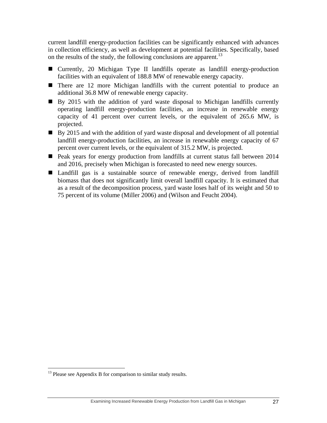current landfill energy-production facilities can be significantly enhanced with advances in collection efficiency, as well as development at potential facilities. Specifically, based on the results of the study, the following conclusions are apparent.<sup>13</sup>

- Currently, 20 Michigan Type II landfills operate as landfill energy-production facilities with an equivalent of 188.8 MW of renewable energy capacity.
- There are 12 more Michigan landfills with the current potential to produce an additional 36.8 MW of renewable energy capacity.
- By 2015 with the addition of yard waste disposal to Michigan landfills currently operating landfill energy-production facilities, an increase in renewable energy capacity of 41 percent over current levels, or the equivalent of 265.6 MW, is projected.
- By 2015 and with the addition of yard waste disposal and development of all potential landfill energy-production facilities, an increase in renewable energy capacity of 67 percent over current levels, or the equivalent of 315.2 MW, is projected.
- **Peak years for energy production from landfills at current status fall between 2014** and 2016, precisely when Michigan is forecasted to need new energy sources.
- Landfill gas is a sustainable source of renewable energy, derived from landfill biomass that does not significantly limit overall landfill capacity. It is estimated that as a result of the decomposition process, yard waste loses half of its weight and 50 to 75 percent of its volume (Miller 2006) and (Wilson and Feucht 2004).

1

 $13$  Please see Appendix B for comparison to similar study results.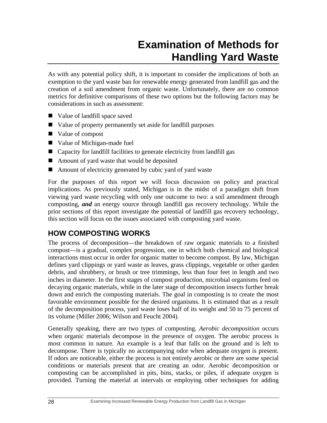# **Examination of Methods for Handling Yard Waste**

As with any potential policy shift, it is important to consider the implications of both an exemption to the yard waste ban for renewable energy generated from landfill gas and the creation of a soil amendment from organic waste. Unfortunately, there are no common metrics for definitive comparisons of these two options but the following factors may be considerations in such as assessment:

- Value of landfill space saved
- Value of property permanently set aside for landfill purposes
- Value of compost
- Value of Michigan-made fuel
- Capacity for landfill facilities to generate electricity from landfill gas
- Amount of yard waste that would be deposited
- Amount of electricity generated by cubic yard of yard waste

For the purposes of this report we will focus discussion on policy and practical implications. As previously stated, Michigan is in the midst of a paradigm shift from viewing yard waste recycling with only one outcome to two: a soil amendment through composting, *and* an energy source through landfill gas recovery technology. While the prior sections of this report investigate the potential of landfill gas recovery technology, this section will focus on the issues associated with composting yard waste.

# **HOW COMPOSTING WORKS**

The process of decomposition—the breakdown of raw organic materials to a finished compost—is a gradual, complex progression, one in which both chemical and biological interactions must occur in order for organic matter to become compost. By law, Michigan defines yard clippings or yard waste as leaves, grass clippings, vegetable or other garden debris, and shrubbery, or brush or tree trimmings, less than four feet in length and two inches in diameter. In the first stages of compost production, microbial organisms feed on decaying organic materials, while in the later stage of decomposition insects further break down and enrich the composting materials. The goal in composting is to create the most favorable environment possible for the desired organisms. It is estimated that as a result of the decomposition process, yard waste loses half of its weight and 50 to 75 percent of its volume (Miller 2006; Wilson and Feucht 2004).

Generally speaking, there are two types of composting. *Aerobic decomposition* occurs when organic materials decompose in the presence of oxygen. The aerobic process is most common in nature. An example is a leaf that falls on the ground and is left to decompose. There is typically no accompanying odor when adequate oxygen is present. If odors are noticeable, either the process is not entirely aerobic or there are some special conditions or materials present that are creating an odor. Aerobic decomposition or composting can be accomplished in pits, bins, stacks, or piles, if adequate oxygen is provided. Turning the material at intervals or employing other techniques for adding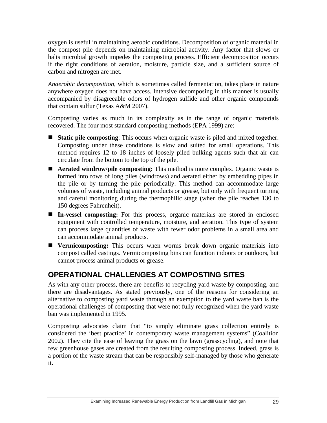oxygen is useful in maintaining aerobic conditions. Decomposition of organic material in the compost pile depends on maintaining microbial activity. Any factor that slows or halts microbial growth impedes the composting process. Efficient decomposition occurs if the right conditions of aeration, moisture, particle size, and a sufficient source of carbon and nitrogen are met.

*Anaerobic decomposition*, which is sometimes called fermentation, takes place in nature anywhere oxygen does not have access. Intensive decomposing in this manner is usually accompanied by disagreeable odors of hydrogen sulfide and other organic compounds that contain sulfur (Texas A&M 2007).

Composting varies as much in its complexity as in the range of organic materials recovered. The four most standard composting methods (EPA 1999) are:

- **Static pile composting**: This occurs when organic waste is piled and mixed together. Composting under these conditions is slow and suited for small operations. This method requires 12 to 18 inches of loosely piled bulking agents such that air can circulate from the bottom to the top of the pile.
- **Aerated windrow/pile composting:** This method is more complex. Organic waste is formed into rows of long piles (windrows) and aerated either by embedding pipes in the pile or by turning the pile periodically. This method can accommodate large volumes of waste, including animal products or grease, but only with frequent turning and careful monitoring during the thermophilic stage (when the pile reaches 130 to 150 degrees Fahrenheit).
- **In-vessel composting:** For this process, organic materials are stored in enclosed equipment with controlled temperature, moisture, and aeration. This type of system can process large quantities of waste with fewer odor problems in a small area and can accommodate animal products.
- **Vermicomposting:** This occurs when worms break down organic materials into compost called castings. Vermicomposting bins can function indoors or outdoors, but cannot process animal products or grease.

# **OPERATIONAL CHALLENGES AT COMPOSTING SITES**

As with any other process, there are benefits to recycling yard waste by composting, and there are disadvantages. As stated previously, one of the reasons for considering an alternative to composting yard waste through an exemption to the yard waste ban is the operational challenges of composting that were not fully recognized when the yard waste ban was implemented in 1995.

Composting advocates claim that "to simply eliminate grass collection entirely is considered the 'best practice' in contemporary waste management systems" (Coalition 2002). They cite the ease of leaving the grass on the lawn (grasscycling), and note that few greenhouse gases are created from the resulting composting process. Indeed, grass is a portion of the waste stream that can be responsibly self-managed by those who generate it.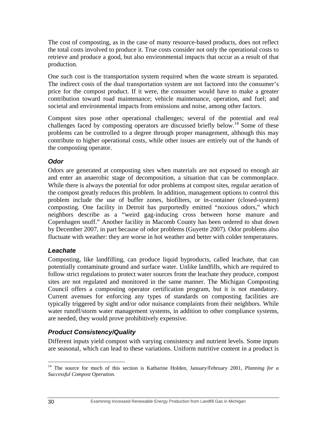The cost of composting, as in the case of many resource-based products, does not reflect the total costs involved to produce it. True costs consider not only the operational costs to retrieve and produce a good, but also environmental impacts that occur as a result of that production.

One such cost is the transportation system required when the waste stream is separated. The indirect costs of the dual transportation system are not factored into the consumer's price for the compost product. If it were, the consumer would have to make a greater contribution toward road maintenance; vehicle maintenance, operation, and fuel; and societal and environmental impacts from emissions and noise, among other factors.

Compost sites pose other operational challenges; several of the potential and real challenges faced by composting operators are discussed briefly below.<sup>14</sup> Some of these problems can be controlled to a degree through proper management, although this may contribute to higher operational costs, while other issues are entirely out of the hands of the composting operator.

#### *Odor*

Odors are generated at composting sites when materials are not exposed to enough air and enter an anaerobic stage of decomposition, a situation that can be commonplace. While there is always the potential for odor problems at compost sites, regular aeration of the compost greatly reduces this problem. In addition, management options to control this problem include the use of buffer zones, biofilters, or in-container (closed-system) composting. One facility in Detroit has purportedly emitted "noxious odors," which neighbors describe as a "weird gag-inducing cross between horse manure and Copenhagen snuff." Another facility in Macomb County has been ordered to shut down by December 2007, in part because of odor problems (Guyette 2007). Odor problems also fluctuate with weather: they are worse in hot weather and better with colder temperatures.

#### *Leachate*

Composting, like landfilling, can produce liquid byproducts, called leachate, that can potentially contaminate ground and surface water. Unlike landfills, which are required to follow strict regulations to protect water sources from the leachate they produce, compost sites are not regulated and monitored in the same manner. The Michigan Composting Council offers a composting operator certification program, but it is not mandatory. Current avenues for enforcing any types of standards on composting facilities are typically triggered by sight and/or odor nuisance complaints from their neighbors. While water runoff/storm water management systems, in addition to other compliance systems, are needed, they would prove prohibitively expensive.

#### *Product Consistency/Quality*

Different inputs yield compost with varying consistency and nutrient levels. Some inputs are seasonal, which can lead to these variations. Uniform nutritive content in a product is

<sup>&</sup>lt;sup>14</sup> The source for much of this section is Katharine Holden, January/February 2001, *Planning for a Successful Compost Operation.*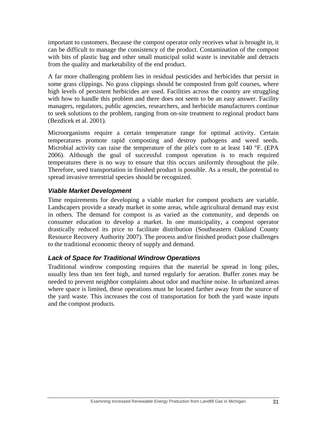important to customers. Because the compost operator only receives what is brought in, it can be difficult to manage the consistency of the product. Contamination of the compost with bits of plastic bag and other small municipal solid waste is inevitable and detracts from the quality and marketability of the end product.

A far more challenging problem lies in residual pesticides and herbicides that persist in some grass clippings. No grass clippings should be composted from golf courses, where high levels of persistent herbicides are used. Facilities across the country are struggling with how to handle this problem and there does not seem to be an easy answer. Facility managers, regulators, public agencies, researchers, and herbicide manufacturers continue to seek solutions to the problem, ranging from on-site treatment to regional product bans (Bezdicek et al. 2001).

Microorganisms require a certain temperature range for optimal activity. Certain temperatures promote rapid composting and destroy pathogens and weed seeds. Microbial activity can raise the temperature of the pile's core to at least 140 °F. (EPA 2006). Although the goal of successful compost operation is to reach required temperatures there is no way to ensure that this occurs uniformly throughout the pile. Therefore, seed transportation in finished product is possible. As a result, the potential to spread invasive terrestrial species should be recognized.

#### *Viable Market Development*

Time requirements for developing a viable market for compost products are variable. Landscapers provide a steady market in some areas, while agricultural demand may exist in others. The demand for compost is as varied as the community, and depends on consumer education to develop a market. In one municipality, a compost operator drastically reduced its price to facilitate distribution (Southeastern Oakland County Resource Recovery Authority 2007). The process and/or finished product pose challenges to the traditional economic theory of supply and demand.

#### *Lack of Space for Traditional Windrow Operations*

Traditional windrow composting requires that the material be spread in long piles, usually less than ten feet high, and turned regularly for aeration. Buffer zones may be needed to prevent neighbor complaints about odor and machine noise. In urbanized areas where space is limited, these operations must be located farther away from the source of the yard waste. This increases the cost of transportation for both the yard waste inputs and the compost products.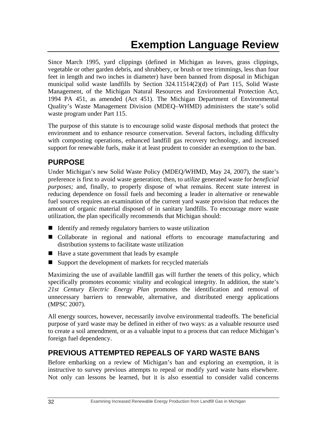# **Exemption Language Review**

Since March 1995, yard clippings (defined in Michigan as leaves, grass clippings, vegetable or other garden debris, and shrubbery, or brush or tree trimmings, less than four feet in length and two inches in diameter) have been banned from disposal in Michigan municipal solid waste landfills by Section 324.11514(2)(d) of Part 115, Solid Waste Management, of the Michigan Natural Resources and Environmental Protection Act, 1994 PA 451, as amended (Act 451). The Michigan Department of Environmental Quality's Waste Management Division (MDEQ–WHMD) administers the state's solid waste program under Part 115.

The purpose of this statute is to encourage solid waste disposal methods that protect the environment and to enhance resource conservation. Several factors, including difficulty with composting operations, enhanced landfill gas recovery technology, and increased support for renewable fuels, make it at least prudent to consider an exemption to the ban.

# **PURPOSE**

Under Michigan's new Solid Waste Policy (MDEQ/WHMD, May 24, 2007), the state's preference is first to avoid waste generation; then, to *utilize* generated waste for *beneficial purposes;* and, finally, to properly dispose of what remains. Recent state interest in reducing dependence on fossil fuels and becoming a leader in alternative or renewable fuel sources requires an examination of the current yard waste provision that reduces the amount of organic material disposed of in sanitary landfills. To encourage more waste utilization, the plan specifically recommends that Michigan should:

- $\blacksquare$  Identify and remedy regulatory barriers to waste utilization
- Collaborate in regional and national efforts to encourage manufacturing and distribution systems to facilitate waste utilization
- $\blacksquare$  Have a state government that leads by example
- Support the development of markets for recycled materials

Maximizing the use of available landfill gas will further the tenets of this policy, which specifically promotes economic vitality and ecological integrity. In addition, the state's *21st Century Electric Energy Plan* promotes the identification and removal of unnecessary barriers to renewable, alternative, and distributed energy applications (MPSC 2007).

All energy sources, however, necessarily involve environmental tradeoffs. The beneficial purpose of yard waste may be defined in either of two ways: as a valuable resource used to create a soil amendment, or as a valuable input to a process that can reduce Michigan's foreign fuel dependency.

# **PREVIOUS ATTEMPTED REPEALS OF YARD WASTE BANS**

Before embarking on a review of Michigan's ban and exploring an exemption, it is instructive to survey previous attempts to repeal or modify yard waste bans elsewhere. Not only can lessons be learned, but it is also essential to consider valid concerns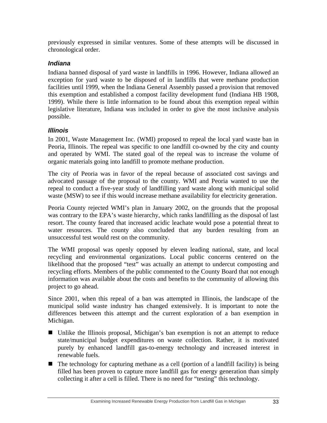previously expressed in similar ventures. Some of these attempts will be discussed in chronological order.

#### *Indiana*

Indiana banned disposal of yard waste in landfills in 1996. However, Indiana allowed an exception for yard waste to be disposed of in landfills that were methane production facilities until 1999, when the Indiana General Assembly passed a provision that removed this exemption and established a compost facility development fund (Indiana HB 1908, 1999). While there is little information to be found about this exemption repeal within legislative literature, Indiana was included in order to give the most inclusive analysis possible.

#### *Illinois*

In 2001, Waste Management Inc. (WMI) proposed to repeal the local yard waste ban in Peoria, Illinois. The repeal was specific to one landfill co-owned by the city and county and operated by WMI. The stated goal of the repeal was to increase the volume of organic materials going into landfill to promote methane production.

The city of Peoria was in favor of the repeal because of associated cost savings and advocated passage of the proposal to the county. WMI and Peoria wanted to use the repeal to conduct a five-year study of landfilling yard waste along with municipal solid waste (MSW) to see if this would increase methane availability for electricity generation.

Peoria County rejected WMI's plan in January 2002, on the grounds that the proposal was contrary to the EPA's waste hierarchy, which ranks landfilling as the disposal of last resort. The county feared that increased acidic leachate would pose a potential threat to water resources. The county also concluded that any burden resulting from an unsuccessful test would rest on the community.

The WMI proposal was openly opposed by eleven leading national, state, and local recycling and environmental organizations. Local public concerns centered on the likelihood that the proposed "test" was actually an attempt to undercut composting and recycling efforts. Members of the public commented to the County Board that not enough information was available about the costs and benefits to the community of allowing this project to go ahead.

Since 2001, when this repeal of a ban was attempted in Illinois, the landscape of the municipal solid waste industry has changed extensively. It is important to note the differences between this attempt and the current exploration of a ban exemption in Michigan.

- Unlike the Illinois proposal, Michigan's ban exemption is not an attempt to reduce state/municipal budget expenditures on waste collection. Rather, it is motivated purely by enhanced landfill gas-to-energy technology and increased interest in renewable fuels.
- $\blacksquare$  The technology for capturing methane as a cell (portion of a landfill facility) is being filled has been proven to capture more landfill gas for energy generation than simply collecting it after a cell is filled. There is no need for "testing" this technology.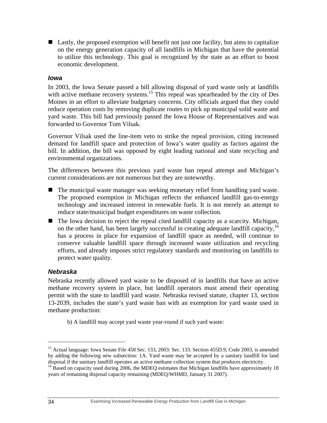■ Lastly, the proposed exemption will benefit not just one facility, but aims to capitalize on the energy generation capacity of all landfills in Michigan that have the potential to utilize this technology. This goal is recognized by the state as an effort to boost economic development.

#### *Iowa*

In 2003, the Iowa Senate passed a bill allowing disposal of yard waste only at landfills with active methane recovery systems.<sup>15</sup> This repeal was spearheaded by the city of Des Moines in an effort to alleviate budgetary concerns. City officials argued that they could reduce operation costs by removing duplicate routes to pick up municipal solid waste and yard waste. This bill had previously passed the Iowa House of Representatives and was forwarded to Governor Tom Vilsak.

Governor Vilsak used the line-item veto to strike the repeal provision, citing increased demand for landfill space and protection of Iowa's water quality as factors against the bill. In addition, the bill was opposed by eight leading national and state recycling and environmental organizations.

The differences between this previous yard waste ban repeal attempt and Michigan's current considerations are not numerous but they are noteworthy.

- The municipal waste manager was seeking monetary relief from handling yard waste. The proposed exemption in Michigan reflects the enhanced landfill gas-to-energy technology and increased interest in renewable fuels. It is not merely an attempt to reduce state/municipal budget expenditures on waste collection.
- The Iowa decision to reject the repeal cited landfill capacity as a scarcity. Michigan, on the other hand, has been largely successful in creating adequate landfill capacity,<sup>16</sup> has a process in place for expansion of landfill space as needed, will continue to conserve valuable landfill space through increased waste utilization and recycling efforts, and already imposes strict regulatory standards and monitoring on landfills to protect water quality.

#### *Nebraska*

Nebraska recently allowed yard waste to be disposed of in landfills that have an active methane recovery system in place, but landfill operators must amend their operating permit with the state to landfill yard waste. Nebraska revised statute, chapter 13, section 13-2039, includes the state's yard waste ban with an exemption for yard waste used in methane production:

b) A landfill may accept yard waste year-round if such yard waste:

<sup>&</sup>lt;sup>15</sup> Actual language: Iowa Senate File 458 Sec. 133, 2003: Sec. 133. Section 455D.9, Code 2003, is amended by adding the following new subsection: 1A. Yard waste may be accepted by a sanitary landfill for land disposal if the sanitary landfill operates an active methane collection system that produces electricity.

<sup>&</sup>lt;sup>16</sup> Based on capacity used during 2006, the MDEQ estimates that Michigan landfills have approximately 18 years of remaining disposal capacity remaining (MDEQ/WHMD, January 31 2007).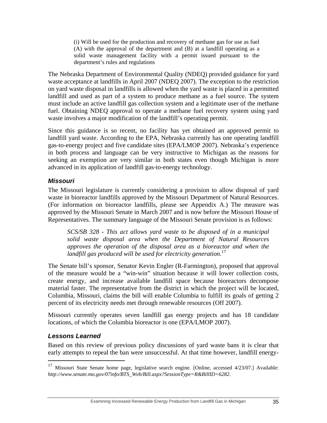(i) Will be used for the production and recovery of methane gas for use as fuel (A) with the approval of the department and (B) at a landfill operating as a solid waste management facility with a permit issued pursuant to the department's rules and regulations

The Nebraska Department of Environmental Quality (NDEQ) provided guidance for yard waste acceptance at landfills in April 2007 (NDEQ 2007). The exception to the restriction on yard waste disposal in landfills is allowed when the yard waste is placed in a permitted landfill and used as part of a system to produce methane as a fuel source. The system must include an active landfill gas collection system and a legitimate user of the methane fuel. Obtaining NDEQ approval to operate a methane fuel recovery system using yard waste involves a major modification of the landfill's operating permit.

Since this guidance is so recent, no facility has yet obtained an approved permit to landfill yard waste. According to the EPA, Nebraska currently has one operating landfill gas-to-energy project and five candidate sites (EPA/LMOP 2007). Nebraska's experience in both process and language can be very instructive to Michigan as the reasons for seeking an exemption are very similar in both states even though Michigan is more advanced in its application of landfill gas-to-energy technology.

#### *Missouri*

The Missouri legislature is currently considering a provision to allow disposal of yard waste in bioreactor landfills approved by the Missouri Department of Natural Resources. (For information on bioreactor landfills, please see Appendix A.) The measure was approved by the Missouri Senate in March 2007 and is now before the Missouri House of Representatives. The summary language of the Missouri Senate provision is as follows:

*SCS/SB 328 - This act allows yard waste to be disposed of in a municipal solid waste disposal area when the Department of Natural Resources approves the operation of the disposal area as a bioreactor and when the*  landfill gas produced will be used for electricity generation.<sup>17</sup>

The Senate bill's sponsor, Senator Kevin Engler (R-Farmington), proposed that approval of the measure would be a "win-win" situation because it will lower collection costs, create energy, and increase available landfill space because bioreactors decompose material faster. The representative from the district in which the project will be located, Columbia, Missouri, claims the bill will enable Columbia to fulfill its goals of getting 2 percent of its electricity needs met through renewable resources (Off 2007).

Missouri currently operates seven landfill gas energy projects and has 18 candidate locations, of which the Columbia bioreactor is one (EPA/LMOP 2007).

#### *Lessons Learned*

 $\overline{a}$ 

Based on this review of previous policy discussions of yard waste bans it is clear that early attempts to repeal the ban were unsuccessful. At that time however, landfill energy-

<sup>&</sup>lt;sup>17</sup> Missouri State Senate home page, legislative search engine. [Online, accessed 4/23/07.] Available: *http://www.senate.mo.gov/07info/BTS\_Web/Bill.aspx?SessionType=R&BillID=6282*.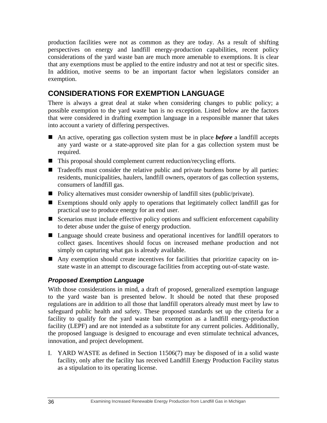production facilities were not as common as they are today. As a result of shifting perspectives on energy and landfill energy-production capabilities, recent policy considerations of the yard waste ban are much more amenable to exemptions. It is clear that any exemptions must be applied to the entire industry and not at test or specific sites. In addition, motive seems to be an important factor when legislators consider an exemption.

## **CONSIDERATIONS FOR EXEMPTION LANGUAGE**

There is always a great deal at stake when considering changes to public policy; a possible exemption to the yard waste ban is no exception. Listed below are the factors that were considered in drafting exemption language in a responsible manner that takes into account a variety of differing perspectives.

- An active, operating gas collection system must be in place *before* a landfill accepts any yard waste or a state-approved site plan for a gas collection system must be required.
- This proposal should complement current reduction/recycling efforts.
- Tradeoffs must consider the relative public and private burdens borne by all parties: residents, municipalities, haulers, landfill owners, operators of gas collection systems, consumers of landfill gas.
- Policy alternatives must consider ownership of landfill sites (public/private).
- Exemptions should only apply to operations that legitimately collect landfill gas for practical use to produce energy for an end user.
- Scenarios must include effective policy options and sufficient enforcement capability to deter abuse under the guise of energy production.
- Language should create business and operational incentives for landfill operators to collect gases. Incentives should focus on increased methane production and not simply on capturing what gas is already available.
- Any exemption should create incentives for facilities that prioritize capacity on instate waste in an attempt to discourage facilities from accepting out-of-state waste.

### *Proposed Exemption Language*

With those considerations in mind, a draft of proposed, generalized exemption language to the yard waste ban is presented below. It should be noted that these proposed regulations are in addition to all those that landfill operators already must meet by law to safeguard public health and safety. These proposed standards set up the criteria for a facility to qualify for the yard waste ban exemption as a landfill energy-production facility (LEPF) and are not intended as a substitute for any current policies. Additionally, the proposed language is designed to encourage and even stimulate technical advances, innovation, and project development.

I. YARD WASTE as defined in Section 11506(7) may be disposed of in a solid waste facility, only after the facility has received Landfill Energy Production Facility status as a stipulation to its operating license.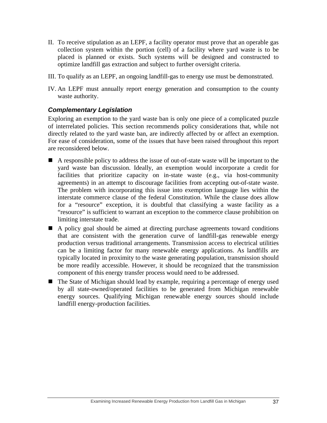- II. To receive stipulation as an LEPF, a facility operator must prove that an operable gas collection system within the portion (cell) of a facility where yard waste is to be placed is planned or exists. Such systems will be designed and constructed to optimize landfill gas extraction and subject to further oversight criteria.
- III. To qualify as an LEPF, an ongoing landfill-gas to energy use must be demonstrated.
- IV. An LEPF must annually report energy generation and consumption to the county waste authority.

#### *Complementary Legislation*

Exploring an exemption to the yard waste ban is only one piece of a complicated puzzle of interrelated policies. This section recommends policy considerations that, while not directly related to the yard waste ban, are indirectly affected by or affect an exemption. For ease of consideration, some of the issues that have been raised throughout this report are reconsidered below.

- A responsible policy to address the issue of out-of-state waste will be important to the yard waste ban discussion. Ideally, an exemption would incorporate a credit for facilities that prioritize capacity on in-state waste (e.g., via host-community agreements) in an attempt to discourage facilities from accepting out-of-state waste. The problem with incorporating this issue into exemption language lies within the interstate commerce clause of the federal Constitution. While the clause does allow for a "resource" exception, it is doubtful that classifying a waste facility as a "resource" is sufficient to warrant an exception to the commerce clause prohibition on limiting interstate trade.
- A policy goal should be aimed at directing purchase agreements toward conditions that are consistent with the generation curve of landfill-gas renewable energy production versus traditional arrangements. Transmission access to electrical utilities can be a limiting factor for many renewable energy applications. As landfills are typically located in proximity to the waste generating population, transmission should be more readily accessible. However, it should be recognized that the transmission component of this energy transfer process would need to be addressed.
- The State of Michigan should lead by example, requiring a percentage of energy used by all state-owned/operated facilities to be generated from Michigan renewable energy sources. Qualifying Michigan renewable energy sources should include landfill energy-production facilities.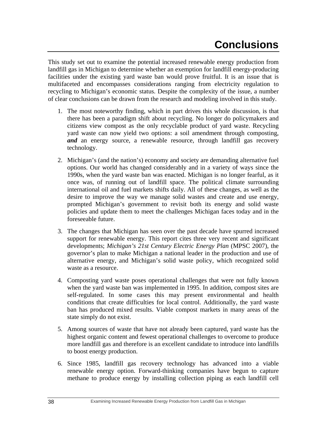This study set out to examine the potential increased renewable energy production from landfill gas in Michigan to determine whether an exemption for landfill energy-producing facilities under the existing yard waste ban would prove fruitful. It is an issue that is multifaceted and encompasses considerations ranging from electricity regulation to recycling to Michigan's economic status. Despite the complexity of the issue, a number of clear conclusions can be drawn from the research and modeling involved in this study.

- 1. The most noteworthy finding, which in part drives this whole discussion, is that there has been a paradigm shift about recycling. No longer do policymakers and citizens view compost as the only recyclable product of yard waste. Recycling yard waste can now yield two options: a soil amendment through composting, and an energy source, a renewable resource, through landfill gas recovery technology.
- 2. Michigan's (and the nation's) economy and society are demanding alternative fuel options. Our world has changed considerably and in a variety of ways since the 1990s, when the yard waste ban was enacted. Michigan is no longer fearful, as it once was, of running out of landfill space. The political climate surrounding international oil and fuel markets shifts daily. All of these changes, as well as the desire to improve the way we manage solid wastes and create and use energy, prompted Michigan's government to revisit both its energy and solid waste policies and update them to meet the challenges Michigan faces today and in the foreseeable future.
- 3. The changes that Michigan has seen over the past decade have spurred increased support for renewable energy. This report cites three very recent and significant developments; *Michigan's 21st Century Electric Energy Plan* (MPSC 2007), the governor's plan to make Michigan a national leader in the production and use of alternative energy, and Michigan's solid waste policy, which recognized solid waste as a resource.
- 4. Composting yard waste poses operational challenges that were not fully known when the yard waste ban was implemented in 1995. In addition, compost sites are self-regulated. In some cases this may present environmental and health conditions that create difficulties for local control. Additionally, the yard waste ban has produced mixed results. Viable compost markets in many areas of the state simply do not exist.
- 5. Among sources of waste that have not already been captured, yard waste has the highest organic content and fewest operational challenges to overcome to produce more landfill gas and therefore is an excellent candidate to introduce into landfills to boost energy production.
- 6. Since 1985, landfill gas recovery technology has advanced into a viable renewable energy option. Forward-thinking companies have begun to capture methane to produce energy by installing collection piping as each landfill cell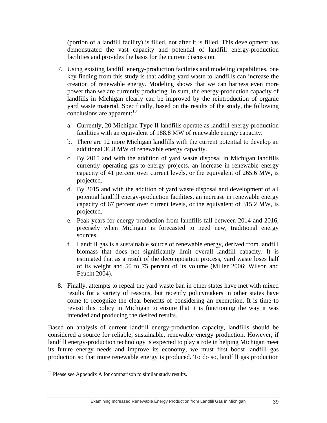(portion of a landfill facility) is filled, not after it is filled. This development has demonstrated the vast capacity and potential of landfill energy-production facilities and provides the basis for the current discussion.

- 7. Using existing landfill energy-production facilities and modeling capabilities, one key finding from this study is that adding yard waste to landfills can increase the creation of renewable energy. Modeling shows that we can harness even more power than we are currently producing. In sum, the energy-production capacity of landfills in Michigan clearly can be improved by the reintroduction of organic yard waste material. Specifically, based on the results of the study, the following conclusions are apparent:  $18$ 
	- a. Currently, 20 Michigan Type II landfills operate as landfill energy-production facilities with an equivalent of 188.8 MW of renewable energy capacity.
	- b. There are 12 more Michigan landfills with the current potential to develop an additional 36.8 MW of renewable energy capacity.
	- c. By 2015 and with the addition of yard waste disposal in Michigan landfills currently operating gas-to-energy projects, an increase in renewable energy capacity of 41 percent over current levels, or the equivalent of 265.6 MW, is projected.
	- d. By 2015 and with the addition of yard waste disposal and development of all potential landfill energy-production facilities, an increase in renewable energy capacity of 67 percent over current levels, or the equivalent of 315.2 MW, is projected.
	- e. Peak years for energy production from landfills fall between 2014 and 2016, precisely when Michigan is forecasted to need new, traditional energy sources.
	- f. Landfill gas is a sustainable source of renewable energy, derived from landfill biomass that does not significantly limit overall landfill capacity. It is estimated that as a result of the decomposition process, yard waste loses half of its weight and 50 to 75 percent of its volume (Miller 2006; Wilson and Feucht 2004).
- 8. Finally, attempts to repeal the yard waste ban in other states have met with mixed results for a variety of reasons, but recently policymakers in other states have come to recognize the clear benefits of considering an exemption. It is time to revisit this policy in Michigan to ensure that it is functioning the way it was intended and producing the desired results.

Based on analysis of current landfill energy-production capacity, landfills should be considered a source for reliable, sustainable, renewable energy production. However, if landfill energy-production technology is expected to play a role in helping Michigan meet its future energy needs and improve its economy, we must first boost landfill gas production so that more renewable energy is produced. To do so, landfill gas production

1

 $18$  Please see Appendix A for comparison to similar study results.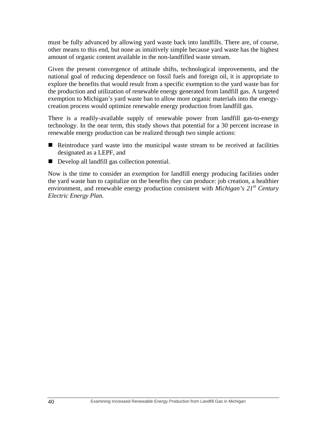must be fully advanced by allowing yard waste back into landfills. There are, of course, other means to this end, but none as intuitively simple because yard waste has the highest amount of organic content available in the non-landfilled waste stream.

Given the present convergence of attitude shifts, technological improvements, and the national goal of reducing dependence on fossil fuels and foreign oil, it is appropriate to explore the benefits that would result from a specific exemption to the yard waste ban for the production and utilization of renewable energy generated from landfill gas. A targeted exemption to Michigan's yard waste ban to allow more organic materials into the energycreation process would optimize renewable energy production from landfill gas.

There is a readily-available supply of renewable power from landfill gas-to-energy technology. In the near term, this study shows that potential for a 30 percent increase in renewable energy production can be realized through two simple actions:

- Reintroduce yard waste into the municipal waste stream to be received at facilities designated as a LEPF, and
- Develop all landfill gas collection potential.

Now is the time to consider an exemption for landfill energy producing facilities under the yard waste ban to capitalize on the benefits they can produce: job creation, a healthier environment, and renewable energy production consistent with *Michigan's 21st Century Electric Energy Plan.*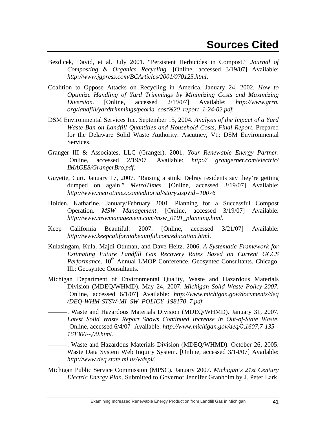- Bezdicek, David, et al. July 2001. "Persistent Herbicides in Compost." *Journal of Composting & Organics Recycling*. [Online, accessed 3/19/07] Available: *http://www.jgpress.com/BCArticles/2001/070125.html*.
- Coalition to Oppose Attacks on Recycling in America. January 24, 2002. *How to Optimize Handling of Yard Trimmings by Minimizing Costs and Maximizing Diversion.* [Online, accessed 2/19/07] Available: *http://www.grrn. org/landfill/yardtrimmings/peoria\_cost%20\_report\_1-24-02.pdf.*
- DSM Environmental Services Inc. September 15, 2004. *Analysis of the Impact of a Yard Waste Ban on Landfill Quantities and Household Costs, Final Report*. Prepared for the Delaware Solid Waste Authority. Ascutney, Vt.: DSM Environmental Services.
- Granger III & Associates, LLC (Granger). 2001. *Your Renewable Energy Partner*. [Online, accessed 2/19/07] Available: *http:// grangernet.com/electric/ IMAGES/GrangerBro.pdf*.
- Guyette, Curt. January 17, 2007. "Raising a stink: Delray residents say they're getting dumped on again." *MetroTimes*. [Online, accessed 3/19/07] Available: *http://www.metrotimes.com/editorial/story.asp?id=10076*
- Holden, Katharine. January/February 2001. Planning for a Successful Compost Operation. *MSW Management*. [Online, accessed 3/19/07] Available: *http://www.mswmanagement.com/msw\_0101\_planning.html*.
- Keep California Beautiful. 2007. [Online, accessed 3/21/07] Available: *http://www.keepcaliforniabeautiful.com/education.html*.
- Kulasingam, Kula, Majdi Othman, and Dave Heitz. 2006. *A Systematic Framework for Estimating Future Landfill Gas Recovery Rates Based on Current GCCS*  Performance. 10<sup>th</sup> Annual LMOP Conference, Geosyntec Consultants. Chicago, Ill.: Geosyntec Consultants.
- Michigan Department of Environmental Quality, Waste and Hazardous Materials Division (MDEQ/WHMD). May 24, 2007. *Michigan Solid Waste Policy-2007.* [Online, accessed 6/1/07] Available: *http://www.michigan.gov/documents/deq /DEQ-WHM-STSW-MI\_SW\_POLICY\_198170\_7.pdf.*
- ———. Waste and Hazardous Materials Division (MDEQ/WHMD). January 31, 2007. *Latest Solid Waste Report Shows Continued Increase in Out-of-State Waste.* [Online, accessed 6/4/07] Available: *http://www.michigan.gov/deq/0,1607,7-135-- 161306--,00.html.*
- ———. Waste and Hazardous Materials Division (MDEQ/WHMD). October 26, 2005. Waste Data System Web Inquiry System. [Online, accessed 3/14/07] Available: *http://www.deq.state.mi.us/wdspi/.*
- Michigan Public Service Commission (MPSC)*.* January 2007. *Michigan's 21st Century Electric Energy Plan*. Submitted to Governor Jennifer Granholm by J. Peter Lark,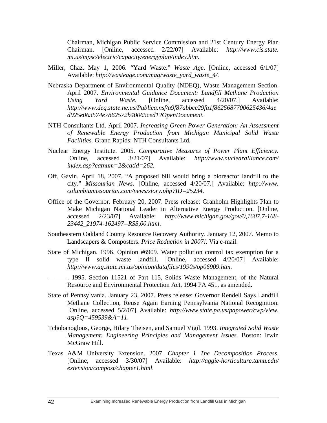Chairman, Michigan Public Service Commission and 21st Century Energy Plan Chairman. [Online, accessed 2/22/07] Available: *http://www.cis.state. mi.us/mpsc/electric/capacity/energyplan/index.htm*.

- Miller, Chaz. May 1, 2006. "Yard Waste." *Waste Age*. [Online, accessed 6/1/07] Available: *http://wasteage.com/mag/waste\_yard\_waste\_4/.*
- Nebraska Department of Environmental Quality (NDEQ), Waste Management Section. April 2007. *Environmental Guidance Document: Landfill Methane Production Using Yard Waste.* [Online, accessed 4/20/07.] Available: *http://www.deq.state.ne.us/Publica.nsf/a9f87abbcc29fa1f8625687700625436/4ae d925e063574e7862572b40065ced1?OpenDocument.*
- NTH Consultants Ltd. April 2007. *Increasing Green Power Generation: An Assessment of Renewable Energy Production from Michigan Municipal Solid Waste Facilities.* Grand Rapids: NTH Consultants Ltd.
- Nuclear Energy Institute. 2005. *Comparative Measures of Power Plant Efficiency.*  [Online, accessed 3/21/07] Available: *http://www.nuclearalliance.com/ index.asp?catnum=2&catid=262.*
- Off, Gavin. April 18, 2007. "A proposed bill would bring a bioreactor landfill to the city." *Missourian News*. [Online, accessed 4/20/07.] Available: *http://www. columbiamissourian.com/news/story.php?ID=25234.*
- Office of the Governor. February 20, 2007. Press release: Granholm Highlights Plan to Make Michigan National Leader in Alternative Energy Production. [Online, accessed 2/23/07] Available: *http://www.michigan.gov/gov/0,1607,7-168- 23442\_21974-162497--RSS,00.html*.
- Southeastern Oakland County Resource Recovery Authority. January 12, 2007. Memo to Landscapers & Composters. *Price Reduction in 2007!*. Via e-mail.
- State of Michigan. 1996. Opinion #6909. Water pollution control tax exemption for a type II solid waste landfill. [Online, accessed 4/20/07] Available: *http://www.ag.state.mi.us/opinion/datafiles/1990s/op06909.htm*.
- ———. 1995. Section 11521 of Part 115, Solids Waste Management, of the Natural Resource and Environmental Protection Act, 1994 PA 451, as amended.
- State of Pennsylvania. January 23, 2007. Press release: Governor Rendell Says Landfill Methane Collection, Reuse Again Earning Pennsylvania National Recognition. [Online, accessed 5/2/07] Available: *http://www.state.pa.us/papower/cwp/view. asp?Q=459539&A=11*.
- Tchobanoglous, George, Hilary Theisen, and Samuel Vigil. 1993. *Integrated Solid Waste Management: Engineering Principles and Management Issues.* Boston: Irwin McGraw Hill.
- Texas A&M University Extension. 2007. *Chapter 1 The Decomposition Process*. [Online, accessed 3/30/07] Available: *http://aggie-horticulture.tamu.edu/ extension/compost/chapter1.html*.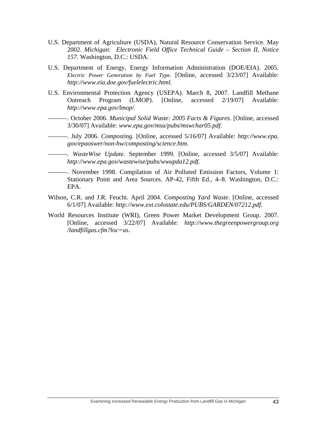- U.S. Department of Agriculture (USDA), Natural Resource Conservation Service. May 2002. *Michigan: Electronic Field Office Technical Guide – Section II, Notice 157.* Washington, D.C.: USDA.
- U.S. Department of Energy, Energy Information Administration (DOE/EIA). 2005. *Electric Power Generation by Fuel Type.* [Online, accessed 3/23/07] Available: *http://www.eia.doe.gov/fuelelectric.html.*
- U.S. Environmental Protection Agency (USEPA). March 8, 2007. Landfill Methane Outreach Program (LMOP). [Online, accessed 2/19/07] Available: *http://www.epa.gov/lmop/.*
	- ———. October 2006. *Municipal Solid Waste: 2005 Facts & Figures*. [Online, accessed 3/30/07] Available: *www.epa.gov/msu/pubs/mswchar05.pdf*.
- ———. July 2006. *Composting.* [Online, accessed 5/16/07] Available: *http://www.epa. gov/epaoswer/non-hw/composting/science.htm*.
- ———. *WasteWise Update.* September 1999. [Online, accessed 3/5/07] Available: *http://www.epa.gov/wastewise/pubs/wwupda12.pdf.*
- ———. November 1998. Compilation of Air Polluted Emission Factors, Volume 1: Stationary Point and Area Sources. AP-42, Fifth Ed., 4–8. Washington, D.C.: EPA.
- Wilson, C.R. and J.R. Feucht. April 2004. *Composting Yard Waste*. [Online, accessed 6/1/07] Available: *http://www.ext.colostate.edu/PUBS/GARDEN/07212.pdf.*
- World Resources Institute (WRI), Green Power Market Development Group. 2007. [Online, accessed 3/22/07] Available: *http://www.thegreenpowergroup.org /landfillgas.cfm?loc=us*.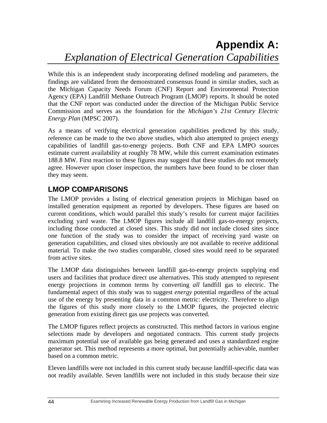# **Appendix A:**  *Explanation of Electrical Generation Capabilities*

While this is an independent study incorporating defined modeling and parameters, the findings are validated from the demonstrated consensus found in similar studies, such as the Michigan Capacity Needs Forum (CNF) Report and Environmental Protection Agency (EPA) Landfill Methane Outreach Program (LMOP) reports. It should be noted that the CNF report was conducted under the direction of the Michigan Public Service Commission and serves as the foundation for the *Michigan's 21st Century Electric Energy Plan* (MPSC 2007).

As a means of verifying electrical generation capabilities predicted by this study, reference can be made to the two above studies, which also attempted to project energy capabilities of landfill gas-to-energy projects. Both CNF and EPA LMPO sources estimate current availability at roughly 78 MW, while this current examination estimates 188.8 MW. First reaction to these figures may suggest that these studies do not remotely agree. However upon closer inspection, the numbers have been found to be closer than they may seem.

## **LMOP COMPARISONS**

The LMOP provides a listing of electrical generation projects in Michigan based on installed generation equipment as reported by developers. These figures are based on current conditions, which would parallel this study's results for current major facilities excluding yard waste. The LMOP figures include all landfill gas-to-energy projects, including those conducted at closed sites. This study did not include closed sites since one function of the study was to consider the impact of receiving yard waste on generation capabilities, and closed sites obviously are not available to receive additional material. To make the two studies comparable, closed sites would need to be separated from active sites.

The LMOP data distinguishes between landfill gas-to-energy projects supplying end users and facilities that produce direct use alternatives. This study attempted to represent energy projections in common terms by converting *all* landfill gas to electric. The fundamental aspect of this study was to suggest *energy* potential regardless of the actual use of the energy by presenting data in a common metric: electricity. Therefore to align the figures of this study more closely to the LMOP figures, the projected electric generation from existing direct gas use projects was converted.

The LMOP figures reflect projects as constructed. This method factors in various engine selections made by developers and negotiated contracts. This current study projects maximum potential use of available gas being generated and uses a standardized engine generator set. This method represents a more optimal, but potentially achievable, number based on a common metric.

Eleven landfills were not included in this current study because landfill-specific data was not readily available. Seven landfills were not included in this study because their size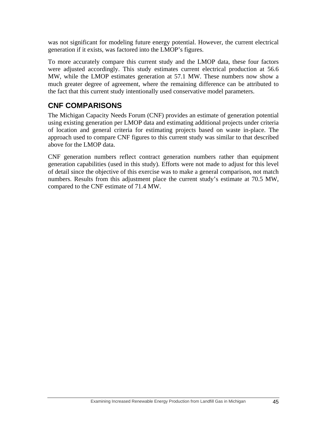was not significant for modeling future energy potential. However, the current electrical generation if it exists, was factored into the LMOP's figures.

To more accurately compare this current study and the LMOP data, these four factors were adjusted accordingly. This study estimates current electrical production at 56.6 MW, while the LMOP estimates generation at 57.1 MW. These numbers now show a much greater degree of agreement, where the remaining difference can be attributed to the fact that this current study intentionally used conservative model parameters.

## **CNF COMPARISONS**

The Michigan Capacity Needs Forum (CNF) provides an estimate of generation potential using existing generation per LMOP data and estimating additional projects under criteria of location and general criteria for estimating projects based on waste in-place. The approach used to compare CNF figures to this current study was similar to that described above for the LMOP data.

CNF generation numbers reflect contract generation numbers rather than equipment generation capabilities (used in this study). Efforts were not made to adjust for this level of detail since the objective of this exercise was to make a general comparison, not match numbers. Results from this adjustment place the current study's estimate at 70.5 MW, compared to the CNF estimate of 71.4 MW.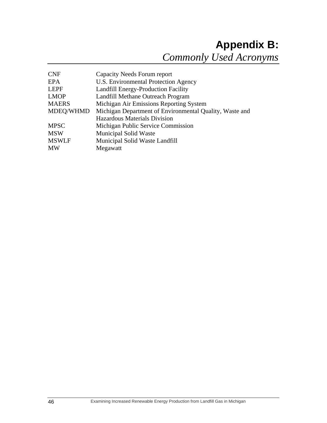# **Appendix B:**  *Commonly Used Acronyms*

| <b>CNF</b>   | Capacity Needs Forum report                             |
|--------------|---------------------------------------------------------|
| EPA          | U.S. Environmental Protection Agency                    |
| <b>LEPF</b>  | Landfill Energy-Production Facility                     |
| <b>LMOP</b>  | Landfill Methane Outreach Program                       |
| <b>MAERS</b> | Michigan Air Emissions Reporting System                 |
| MDEQ/WHMD    | Michigan Department of Environmental Quality, Waste and |
|              | Hazardous Materials Division                            |
| <b>MPSC</b>  | Michigan Public Service Commission                      |
| <b>MSW</b>   | Municipal Solid Waste                                   |
| <b>MSWLF</b> | Municipal Solid Waste Landfill                          |
| MW           | Megawatt                                                |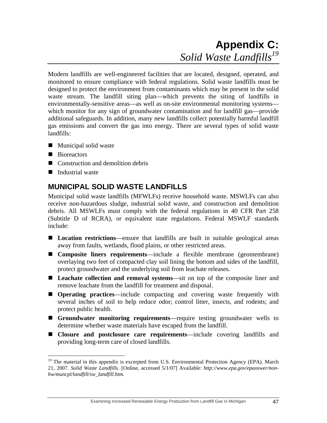Modern landfills are well-engineered facilities that are located, designed, operated, and monitored to ensure compliance with federal regulations. Solid waste landfills must be designed to protect the environment from contaminants which may be present in the solid waste stream. The landfill siting plan—which prevents the siting of landfills in environmentally-sensitive areas—as well as on-site environmental monitoring systems which monitor for any sign of groundwater contamination and for landfill gas—provide additional safeguards. In addition, many new landfills collect potentially harmful landfill gas emissions and convert the gas into energy. There are several types of solid waste landfills:

- **Municipal solid waste**
- Bioreactors

 $\overline{a}$ 

- Construction and demolition debris
- $\blacksquare$  Industrial waste

# **MUNICIPAL SOLID WASTE LANDFILLS**

Municipal solid waste landfills (MFWLFs) receive household waste. MSWLFs can also receive non-hazardous sludge, industrial solid waste, and construction and demolition debris. All MSWLFs must comply with the federal regulations in 40 CFR Part 258 (Subtitle D of RCRA), or equivalent state regulations. Federal MSWLF standards include:

- **Location restrictions**—ensure that landfills are built in suitable geological areas away from faults, wetlands, flood plains, or other restricted areas.
- **Composite liners requirements**—include a flexible membrane (geomembrane) overlaying two feet of compacted clay soil lining the bottom and sides of the landfill, protect groundwater and the underlying soil from leachate releases.
- **Leachate collection and removal systems**—sit on top of the composite liner and remove leachate from the landfill for treatment and disposal.
- **Operating practices**—include compacting and covering waste frequently with several inches of soil to help reduce odor; control litter, insects, and rodents; and protect public health.
- **Groundwater monitoring requirements**—require testing groundwater wells to determine whether waste materials have escaped from the landfill.
- **Closure and postclosure care requirements**—include covering landfills and providing long-term care of closed landfills.

 $19$  The material in this appendix is excerpted from U.S. Environmental Protection Agency (EPA). March 21, 2007. *Solid Waste Landfills*. [Online, accessed 5/1/07] Available: *http://www.epa.gov/epaoswer/nonhw/muncpl/landfill/sw\_landfill.htm.*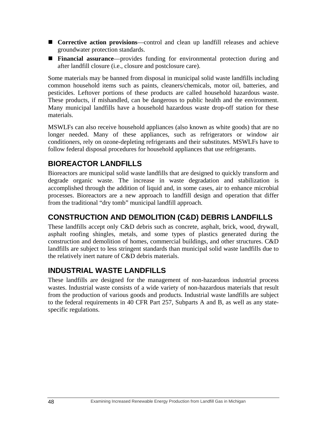- **Corrective action provisions**—control and clean up landfill releases and achieve groundwater protection standards.
- **Financial assurance**—provides funding for environmental protection during and after landfill closure (i.e., closure and postclosure care).

Some materials may be banned from disposal in municipal solid waste landfills including common household items such as paints, cleaners/chemicals, motor oil, batteries, and pesticides. Leftover portions of these products are called household hazardous waste. These products, if mishandled, can be dangerous to public health and the environment. Many municipal landfills have a household hazardous waste drop-off station for these materials.

MSWLFs can also receive household appliances (also known as white goods) that are no longer needed. Many of these appliances, such as refrigerators or window air conditioners, rely on ozone-depleting refrigerants and their substitutes. MSWLFs have to follow federal disposal procedures for household appliances that use refrigerants.

# **BIOREACTOR LANDFILLS**

Bioreactors are municipal solid waste landfills that are designed to quickly transform and degrade organic waste. The increase in waste degradation and stabilization is accomplished through the addition of liquid and, in some cases, air to enhance microbial processes. Bioreactors are a new approach to landfill design and operation that differ from the traditional "dry tomb" municipal landfill approach.

# **CONSTRUCTION AND DEMOLITION (C&D) DEBRIS LANDFILLS**

These landfills accept only C&D debris such as concrete, asphalt, brick, wood, drywall, asphalt roofing shingles, metals, and some types of plastics generated during the construction and demolition of homes, commercial buildings, and other structures. C&D landfills are subject to less stringent standards than municipal solid waste landfills due to the relatively inert nature of C&D debris materials.

# **INDUSTRIAL WASTE LANDFILLS**

These landfills are designed for the management of non-hazardous industrial process wastes. Industrial waste consists of a wide variety of non-hazardous materials that result from the production of various goods and products. Industrial waste landfills are subject to the federal requirements in 40 CFR Part 257, Subparts A and B, as well as any statespecific regulations.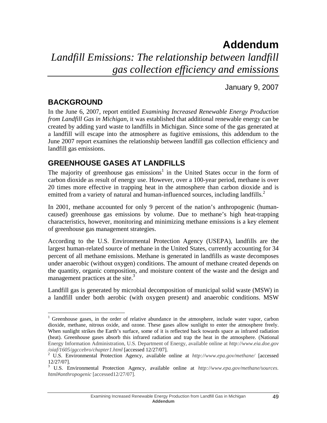# **Addendum**  *Landfill Emissions: The relationship between landfill gas collection efficiency and emissions*

January 9, 2007

## **BACKGROUND**

 $\overline{a}$ 

In the June 6, 2007, report entitled *Examining Increased Renewable Energy Production from Landfill Gas in Michigan,* it was established that additional renewable energy can be created by adding yard waste to landfills in Michigan. Since some of the gas generated at a landfill will escape into the atmosphere as fugitive emissions, this addendum to the June 2007 report examines the relationship between landfill gas collection efficiency and landfill gas emissions.

## **GREENHOUSE GASES AT LANDFILLS**

The majority of greenhouse gas emissions<sup>1</sup> in the United States occur in the form of carbon dioxide as result of energy use. However, over a 100-year period, methane is over 20 times more effective in trapping heat in the atmosphere than carbon dioxide and is emitted from a variety of natural and human-influenced sources, including landfills.<sup>2</sup>

In 2001, methane accounted for only 9 percent of the nation's anthropogenic (humancaused) greenhouse gas emissions by volume. Due to methane's high heat-trapping characteristics, however, monitoring and minimizing methane emissions is a key element of greenhouse gas management strategies.

According to the U.S. Environmental Protection Agency (USEPA), landfills are the largest human-related source of methane in the United States, currently accounting for 34 percent of all methane emissions. Methane is generated in landfills as waste decomposes under anaerobic (without oxygen) conditions. The amount of methane created depends on the quantity, organic composition, and moisture content of the waste and the design and management practices at the site.<sup>3</sup>

Landfill gas is generated by microbial decomposition of municipal solid waste (MSW) in a landfill under both aerobic (with oxygen present) and anaerobic conditions. MSW

<sup>&</sup>lt;sup>1</sup> Greenhouse gases, in the order of relative abundance in the atmosphere, include water vapor, carbon dioxide, methane, nitrous oxide, and ozone. These gases allow sunlight to enter the atmosphere freely. When sunlight strikes the Earth's surface, some of it is reflected back towards space as infrared radiation (heat). Greenhouse gases absorb this infrared radiation and trap the heat in the atmosphere. (National Energy Information Administration, U.S. Department of Energy, available online at *http://www.eia.doe.gov /oiaf/1605/ggccebro/chapter1.html* [accessed 12/27/07]. 2

U.S. Environmental Protection Agency, available online at *http://www.epa.gov/methane/* [accessed 12/27/07].

<sup>3</sup> U.S. Environmental Protection Agency, available online at *http://www.epa.gov/methane/sources. html#anthropogenic* [accessed12/27/07].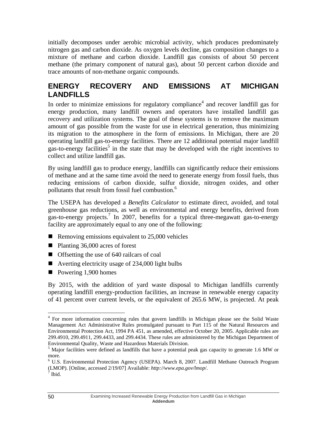initially decomposes under aerobic microbial activity, which produces predominately nitrogen gas and carbon dioxide. As oxygen levels decline, gas composition changes to a mixture of methane and carbon dioxide. Landfill gas consists of about 50 percent methane (the primary component of natural gas), about 50 percent carbon dioxide and trace amounts of non-methane organic compounds.

## **ENERGY RECOVERY AND EMISSIONS AT MICHIGAN LANDFILLS**

In order to minimize emissions for regulatory compliance<sup>4</sup> and recover landfill gas for energy production, many landfill owners and operators have installed landfill gas recovery and utilization systems. The goal of these systems is to remove the maximum amount of gas possible from the waste for use in electrical generation, thus minimizing its migration to the atmosphere in the form of emissions. In Michigan, there are 20 operating landfill gas-to-energy facilities. There are 12 additional potential major landfill  $gas-to-energy$  facilities<sup>5</sup> in the state that may be developed with the right incentives to collect and utilize landfill gas.

By using landfill gas to produce energy, landfills can significantly reduce their emissions of methane and at the same time avoid the need to generate energy from fossil fuels, thus reducing emissions of carbon dioxide, sulfur dioxide, nitrogen oxides, and other pollutants that result from fossil fuel combustion.<sup>6</sup>

The USEPA has developed a *Benefits Calculator* to estimate direct, avoided, and total greenhouse gas reductions, as well as environmental and energy benefits, derived from gas-to-energy projects.<sup>7</sup> In 2007, benefits for a typical three-megawatt gas-to-energy facility are approximately equal to any one of the following:

- Removing emissions equivalent to  $25,000$  vehicles
- Planting 36,000 acres of forest
- Offsetting the use of 640 railcars of coal
- Averting electricity usage of 234,000 light bulbs
- Powering 1,900 homes

By 2015, with the addition of yard waste disposal to Michigan landfills currently operating landfill energy-production facilities, an increase in renewable energy capacity of 41 percent over current levels, or the equivalent of 265.6 MW, is projected. At peak

<sup>&</sup>lt;sup>4</sup> For more information concerning rules that govern landfills in Michigan please see the Solid Waste Management Act Administrative Rules promulgated pursuant to Part 115 of the Natural Resources and Environmental Protection Act, 1994 PA 451, as amended, effective October 20, 2005. Applicable rules are 299.4910, 299.4911, 299.4433, and 299.4434. These rules are administered by the Michigan Department of Environmental Quality, Waste and Hazardous Materials Division. 5

Major facilities were defined as landfills that have a potential peak gas capacity to generate 1.6 MW or more.

<sup>&</sup>lt;sup>6</sup> U.S. Environmental Protection Agency (USEPA). March 8, 2007. Landfill Methane Outreach Program (LMOP). [Online, accessed 2/19/07] Available: *http://www.epa.gov/lmop*/. 7

 $<sup>7</sup>$  Ibid.</sup>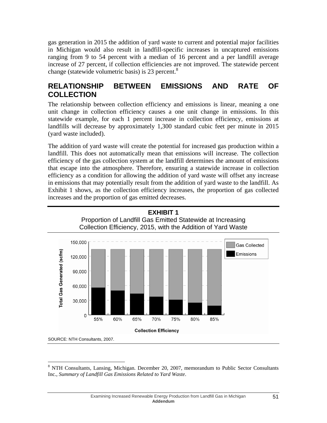gas generation in 2015 the addition of yard waste to current and potential major facilities in Michigan would also result in landfill-specific increases in uncaptured emissions ranging from 9 to 54 percent with a median of 16 percent and a per landfill average increase of 27 percent, if collection efficiencies are not improved. The statewide percent change (statewide volumetric basis) is 23 percent. $8$ 

## **RELATIONSHIP BETWEEN EMISSIONS AND RATE OF COLLECTION**

The relationship between collection efficiency and emissions is linear, meaning a one unit change in collection efficiency causes a one unit change in emissions. In this statewide example, for each 1 percent increase in collection efficiency, emissions at landfills will decrease by approximately 1,300 standard cubic feet per minute in 2015 (yard waste included).

The addition of yard waste will create the potential for increased gas production within a landfill. This does not automatically mean that emissions will increase. The collection efficiency of the gas collection system at the landfill determines the amount of emissions that escape into the atmosphere. Therefore, ensuring a statewide increase in collection efficiency as a condition for allowing the addition of yard waste will offset any increase in emissions that may potentially result from the addition of yard waste to the landfill. As Exhibit 1 shows, as the collection efficiency increases, the proportion of gas collected increases and the proportion of gas emitted decreases.



<sup>&</sup>lt;sup>8</sup> NTH Consultants, Lansing, Michigan. December 20, 2007, memorandum to Public Sector Consultants Inc., *Summary of Landfill Gas Emissions Related to Yard Waste*.